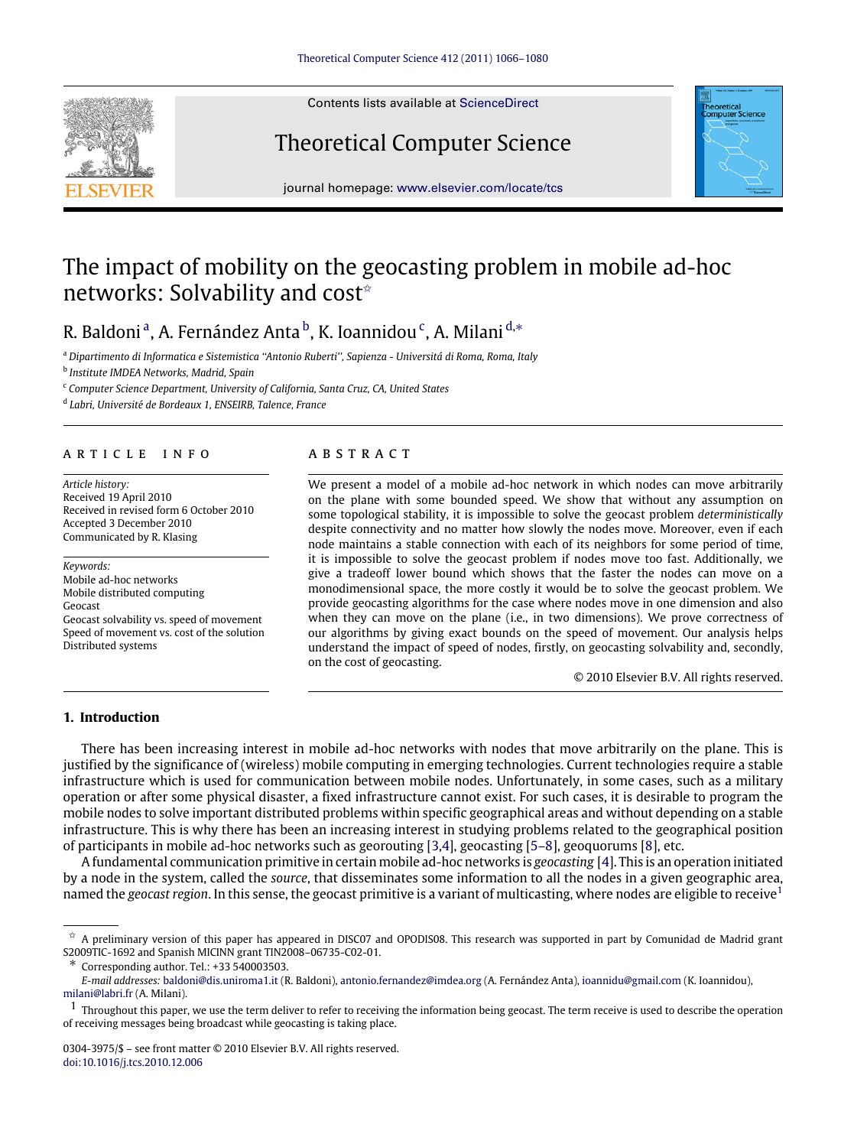<span id="page-0-7"></span>

Contents lists available at [ScienceDirect](http://www.elsevier.com/locate/tcs)

# Theoretical Computer Science



journal homepage: [www.elsevier.com/locate/tcs](http://www.elsevier.com/locate/tcs)

# The impact of mobility on the geocasting problem in mobile ad-hoc networks: Solvability and cost<sup>☆</sup>

# R. B[a](#page-0-1)ldoni<sup>a</sup>, A. Fernández Anta<sup>[b](#page-0-2)</sup>, K. Ioannidou<sup>[c](#page-0-3)</sup>, A. Milani<sup>[d,](#page-0-4)</sup>\*

<span id="page-0-1"></span><sup>a</sup> *Dipartimento di Informatica e Sistemistica ''Antonio Ruberti'', Sapienza - Universitá di Roma, Roma, Italy*

<span id="page-0-2"></span>b *Institute IMDEA Networks, Madrid, Spain*

<span id="page-0-3"></span><sup>c</sup> *Computer Science Department, University of California, Santa Cruz, CA, United States*

<span id="page-0-4"></span>d *Labri, Université de Bordeaux 1, ENSEIRB, Talence, France*

# a r t i c l e i n f o

*Article history:* Received 19 April 2010 Received in revised form 6 October 2010 Accepted 3 December 2010 Communicated by R. Klasing

*Keywords:* Mobile ad-hoc networks Mobile distributed computing Geocast Geocast solvability vs. speed of movement Speed of movement vs. cost of the solution Distributed systems

# a b s t r a c t

We present a model of a mobile ad-hoc network in which nodes can move arbitrarily on the plane with some bounded speed. We show that without any assumption on some topological stability, it is impossible to solve the geocast problem *deterministically* despite connectivity and no matter how slowly the nodes move. Moreover, even if each node maintains a stable connection with each of its neighbors for some period of time, it is impossible to solve the geocast problem if nodes move too fast. Additionally, we give a tradeoff lower bound which shows that the faster the nodes can move on a monodimensional space, the more costly it would be to solve the geocast problem. We provide geocasting algorithms for the case where nodes move in one dimension and also when they can move on the plane (i.e., in two dimensions). We prove correctness of our algorithms by giving exact bounds on the speed of movement. Our analysis helps understand the impact of speed of nodes, firstly, on geocasting solvability and, secondly, on the cost of geocasting.

© 2010 Elsevier B.V. All rights reserved.

# **1. Introduction**

There has been increasing interest in mobile ad-hoc networks with nodes that move arbitrarily on the plane. This is justified by the significance of (wireless) mobile computing in emerging technologies. Current technologies require a stable infrastructure which is used for communication between mobile nodes. Unfortunately, in some cases, such as a military operation or after some physical disaster, a fixed infrastructure cannot exist. For such cases, it is desirable to program the mobile nodes to solve important distributed problems within specific geographical areas and without depending on a stable infrastructure. This is why there has been an increasing interest in studying problems related to the geographical position of participants in mobile ad-hoc networks such as georouting [\[3](#page-14-0)[,4\]](#page-14-1), geocasting [\[5](#page-14-2)[–8\]](#page-14-3), geoquorums [\[8\]](#page-14-3), etc.

A fundamental communication primitive in certain mobile ad-hoc networks is *geocasting* [\[4\]](#page-14-1). This is an operation initiated by a node in the system, called the *source*, that disseminates some information to all the nodes in a given geographic area, named the *geocast region*. In this sense, the geocast primitive is a variant of multicasting, where nodes are eligible to receive[1](#page-0-6)

<span id="page-0-0"></span> $\hat{\sigma}$  A preliminary version of this paper has appeared in DISC07 and OPODIS08. This research was supported in part by Comunidad de Madrid grant S2009TIC-1692 and Spanish MICINN grant TIN2008–06735-C02-01.

<span id="page-0-5"></span><sup>∗</sup> Corresponding author. Tel.: +33 540003503.

*E-mail addresses:* [baldoni@dis.uniroma1.it](mailto:baldoni@dis.uniroma1.it) (R. Baldoni), [antonio.fernandez@imdea.org](mailto:antonio.fernandez@imdea.org) (A. Fernández Anta), [ioannidu@gmail.com](mailto:ioannidu@gmail.com) (K. Ioannidou), [milani@labri.fr](mailto:milani@labri.fr) (A. Milani).

<span id="page-0-6"></span> $1$  Throughout this paper, we use the term deliver to refer to receiving the information being geocast. The term receive is used to describe the operation of receiving messages being broadcast while geocasting is taking place.

<sup>0304-3975/\$ –</sup> see front matter © 2010 Elsevier B.V. All rights reserved. [doi:10.1016/j.tcs.2010.12.006](http://dx.doi.org/10.1016/j.tcs.2010.12.006)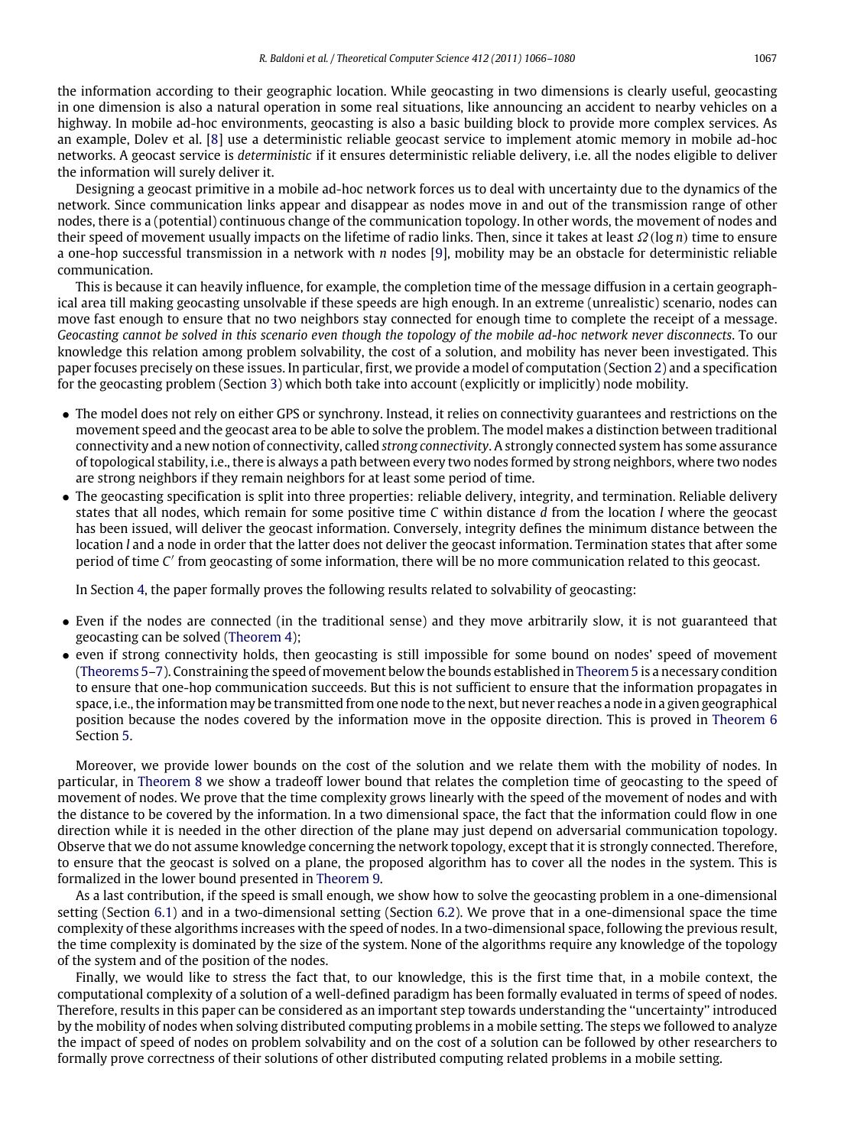the information according to their geographic location. While geocasting in two dimensions is clearly useful, geocasting in one dimension is also a natural operation in some real situations, like announcing an accident to nearby vehicles on a highway. In mobile ad-hoc environments, geocasting is also a basic building block to provide more complex services. As an example, Dolev et al. [\[8\]](#page-14-3) use a deterministic reliable geocast service to implement atomic memory in mobile ad-hoc networks. A geocast service is *deterministic* if it ensures deterministic reliable delivery, i.e. all the nodes eligible to deliver the information will surely deliver it.

Designing a geocast primitive in a mobile ad-hoc network forces us to deal with uncertainty due to the dynamics of the network. Since communication links appear and disappear as nodes move in and out of the transmission range of other nodes, there is a (potential) continuous change of the communication topology. In other words, the movement of nodes and their speed of movement usually impacts on the lifetime of radio links. Then, since it takes at least Ω(log *n*) time to ensure a one-hop successful transmission in a network with *n* nodes [\[9\]](#page-14-4), mobility may be an obstacle for deterministic reliable communication.

This is because it can heavily influence, for example, the completion time of the message diffusion in a certain geographical area till making geocasting unsolvable if these speeds are high enough. In an extreme (unrealistic) scenario, nodes can move fast enough to ensure that no two neighbors stay connected for enough time to complete the receipt of a message. *Geocasting cannot be solved in this scenario even though the topology of the mobile ad-hoc network never disconnects*. To our knowledge this relation among problem solvability, the cost of a solution, and mobility has never been investigated. This paper focuses precisely on these issues. In particular, first, we provide a model of computation (Section [2\)](#page-2-0) and a specification for the geocasting problem (Section [3\)](#page-3-0) which both take into account (explicitly or implicitly) node mobility.

- The model does not rely on either GPS or synchrony. Instead, it relies on connectivity guarantees and restrictions on the movement speed and the geocast area to be able to solve the problem. The model makes a distinction between traditional connectivity and a new notion of connectivity, called *strong connectivity*. A strongly connected system has some assurance of topological stability, i.e., there is always a path between every two nodes formed by strong neighbors, where two nodes are strong neighbors if they remain neighbors for at least some period of time.
- The geocasting specification is split into three properties: reliable delivery, integrity, and termination. Reliable delivery states that all nodes, which remain for some positive time *C* within distance *d* from the location *l* where the geocast has been issued, will deliver the geocast information. Conversely, integrity defines the minimum distance between the location *l* and a node in order that the latter does not deliver the geocast information. Termination states that after some period of time C' from geocasting of some information, there will be no more communication related to this geocast.

In Section [4,](#page-4-0) the paper formally proves the following results related to solvability of geocasting:

- Even if the nodes are connected (in the traditional sense) and they move arbitrarily slow, it is not guaranteed that geocasting can be solved [\(Theorem](#page-4-1) [4\)](#page-4-1);
- even if strong connectivity holds, then geocasting is still impossible for some bound on nodes' speed of movement [\(Theorems](#page-4-2) [5](#page-4-2)[–7\)](#page-5-0). Constraining the speed of movement below the bounds established in [Theorem](#page-4-2) [5](#page-4-2) is a necessary condition to ensure that one-hop communication succeeds. But this is not sufficient to ensure that the information propagates in space, i.e., the information may be transmitted from one node to the next, but never reaches a node in a given geographical position because the nodes covered by the information move in the opposite direction. This is proved in [Theorem](#page-5-1) [6](#page-5-1) Section [5.](#page-6-0)

Moreover, we provide lower bounds on the cost of the solution and we relate them with the mobility of nodes. In particular, in [Theorem](#page-6-1) [8](#page-6-1) we show a tradeoff lower bound that relates the completion time of geocasting to the speed of movement of nodes. We prove that the time complexity grows linearly with the speed of the movement of nodes and with the distance to be covered by the information. In a two dimensional space, the fact that the information could flow in one direction while it is needed in the other direction of the plane may just depend on adversarial communication topology. Observe that we do not assume knowledge concerning the network topology, except that it is strongly connected. Therefore, to ensure that the geocast is solved on a plane, the proposed algorithm has to cover all the nodes in the system. This is formalized in the lower bound presented in [Theorem](#page-7-0) [9.](#page-7-0)

As a last contribution, if the speed is small enough, we show how to solve the geocasting problem in a one-dimensional setting (Section [6.1\)](#page-8-0) and in a two-dimensional setting (Section [6.2\)](#page-11-0). We prove that in a one-dimensional space the time complexity of these algorithms increases with the speed of nodes. In a two-dimensional space, following the previous result, the time complexity is dominated by the size of the system. None of the algorithms require any knowledge of the topology of the system and of the position of the nodes.

Finally, we would like to stress the fact that, to our knowledge, this is the first time that, in a mobile context, the computational complexity of a solution of a well-defined paradigm has been formally evaluated in terms of speed of nodes. Therefore, results in this paper can be considered as an important step towards understanding the ''uncertainty'' introduced by the mobility of nodes when solving distributed computing problems in a mobile setting. The steps we followed to analyze the impact of speed of nodes on problem solvability and on the cost of a solution can be followed by other researchers to formally prove correctness of their solutions of other distributed computing related problems in a mobile setting.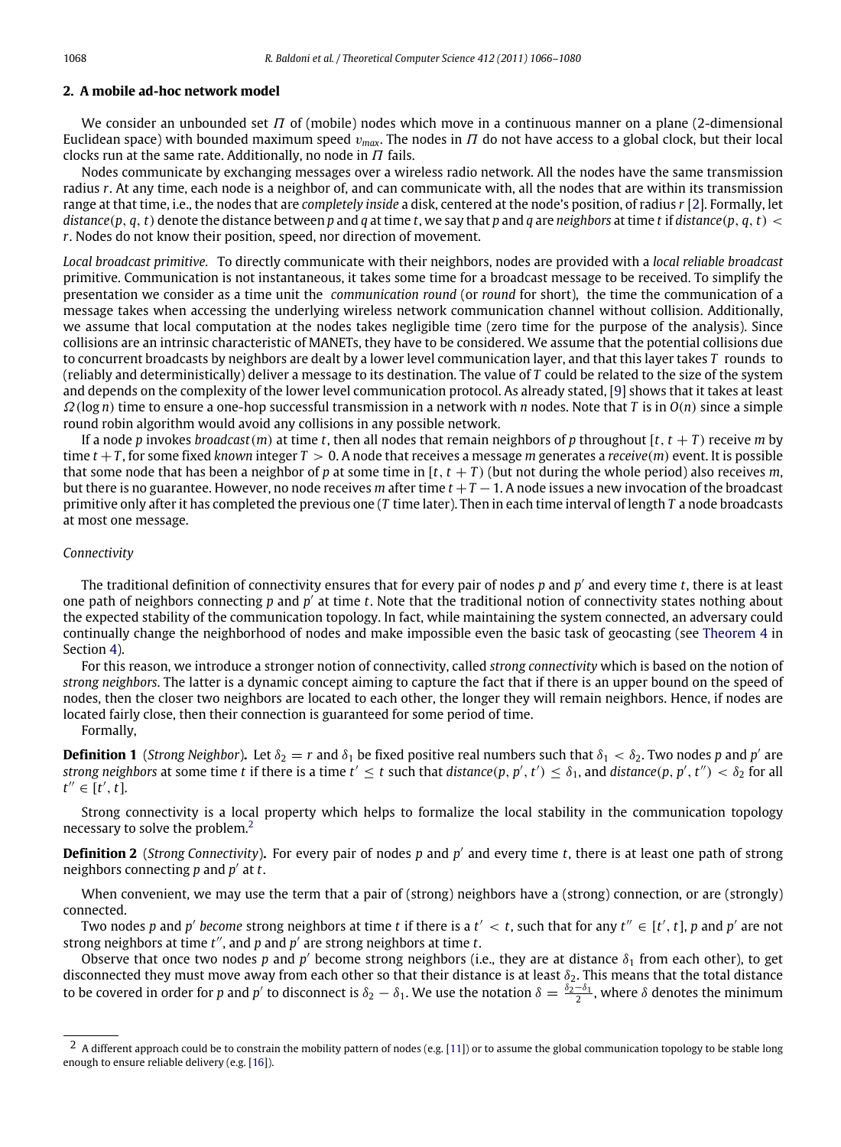### <span id="page-2-0"></span>**2. A mobile ad-hoc network model**

We consider an unbounded set  $\Pi$  of (mobile) nodes which move in a continuous manner on a plane (2-dimensional Euclidean space) with bounded maximum speed  $v_{max}$ . The nodes in  $\Pi$  do not have access to a global clock, but their local clocks run at the same rate. Additionally, no node in  $\Pi$  fails.

Nodes communicate by exchanging messages over a wireless radio network. All the nodes have the same transmission radius *r*. At any time, each node is a neighbor of, and can communicate with, all the nodes that are within its transmission range at that time, i.e., the nodes that are *completely inside* a disk, centered at the node's position, of radius *r* [\[2\]](#page-14-5). Formally, let distance(p, q, t) denote the distance between p and q at time t, we say that p and q are neighbors at time t if distance(p, q, t) < *r*. Nodes do not know their position, speed, nor direction of movement.

*Local broadcast primitive.* To directly communicate with their neighbors, nodes are provided with a *local reliable broadcast* primitive. Communication is not instantaneous, it takes some time for a broadcast message to be received. To simplify the presentation we consider as a time unit the *communication round* (or *round* for short), the time the communication of a message takes when accessing the underlying wireless network communication channel without collision. Additionally, we assume that local computation at the nodes takes negligible time (zero time for the purpose of the analysis). Since collisions are an intrinsic characteristic of MANETs, they have to be considered. We assume that the potential collisions due to concurrent broadcasts by neighbors are dealt by a lower level communication layer, and that this layer takes *T* rounds to (reliably and deterministically) deliver a message to its destination. The value of *T* could be related to the size of the system and depends on the complexity of the lower level communication protocol. As already stated, [\[9\]](#page-14-4) shows that it takes at least Ω(log *n*) time to ensure a one-hop successful transmission in a network with *n* nodes. Note that *T* is in *O*(*n*) since a simple round robin algorithm would avoid any collisions in any possible network.

If a node *p* invokes *broadcast*(*m*) at time *t*, then all nodes that remain neighbors of *p* throughout [*t*, *t* + *T* ) receive *m* by time *t* +*T* , for some fixed *known* integer *T* > 0. A node that receives a message *m* generates a *receive*(*m*) event. It is possible that some node that has been a neighbor of *p* at some time in  $[t, t + T)$  (but not during the whole period) also receives *m*, but there is no guarantee. However, no node receives *m* after time *t* +*T* −1. A node issues a new invocation of the broadcast primitive only after it has completed the previous one (*T* time later). Then in each time interval of length *T* a node broadcasts at most one message.

#### *Connectivity*

The traditional definition of connectivity ensures that for every pair of nodes *p* and *p* ′ and every time *t*, there is at least one path of neighbors connecting p and p' at time t. Note that the traditional notion of connectivity states nothing about the expected stability of the communication topology. In fact, while maintaining the system connected, an adversary could continually change the neighborhood of nodes and make impossible even the basic task of geocasting (see [Theorem](#page-4-1) [4](#page-4-1) in Section [4\)](#page-4-0).

For this reason, we introduce a stronger notion of connectivity, called *strong connectivity* which is based on the notion of *strong neighbors*. The latter is a dynamic concept aiming to capture the fact that if there is an upper bound on the speed of nodes, then the closer two neighbors are located to each other, the longer they will remain neighbors. Hence, if nodes are located fairly close, then their connection is guaranteed for some period of time.

#### Formally,

<span id="page-2-2"></span>**Definition 1** (*Strong Neighbor*). Let  $\delta_2 = r$  and  $\delta_1$  be fixed positive real numbers such that  $\delta_1 < \delta_2$ . Two nodes p and p' are *strong neighbors* at some time *t* if there is a time  $t' \le t$  such that *distance*(*p*, *p'*, *t'*)  $\le \delta_1$ , and *distance*(*p*, *p'*, *t''*)  $\le \delta_2$  for all  $t'' \in \check{[t', t]}$ .

Strong connectivity is a local property which helps to formalize the local stability in the communication topology necessary to solve the problem.<sup>[2](#page-2-1)</sup>

**Definition 2** (*Strong Connectivity*)**.** For every pair of nodes *p* and *p* ′ and every time *t*, there is at least one path of strong neighbors connecting *p* and *p* ′ at *t*.

When convenient, we may use the term that a pair of (strong) neighbors have a (strong) connection, or are (strongly) connected.

Two nodes  $p$  and  $p'$  become strong neighbors at time  $t$  if there is a  $t' < t$ , such that for any  $t'' \in [t', t]$ ,  $p$  and  $p'$  are not strong neighbors at time *t*", and *p* and *p'* are strong neighbors at time *t*.

Observe that once two nodes  $p$  and  $p'$  become strong neighbors (i.e., they are at distance  $\delta_1$  from each other), to get disconnected they must move away from each other so that their distance is at least  $\delta_2$ . This means that the total distance to be covered in order for *p* and *p'* to disconnect is  $\delta_2-\delta_1$ . We use the notation  $\delta=\frac{\delta_2-\delta_1}{2}$ , where  $\delta$  denotes the minimum

<span id="page-2-1"></span> $2\,$  A different approach could be to constrain the mobility pattern of nodes (e.g. [\[11\]](#page-14-6)) or to assume the global communication topology to be stable long enough to ensure reliable delivery (e.g. [\[16\]](#page-14-7)).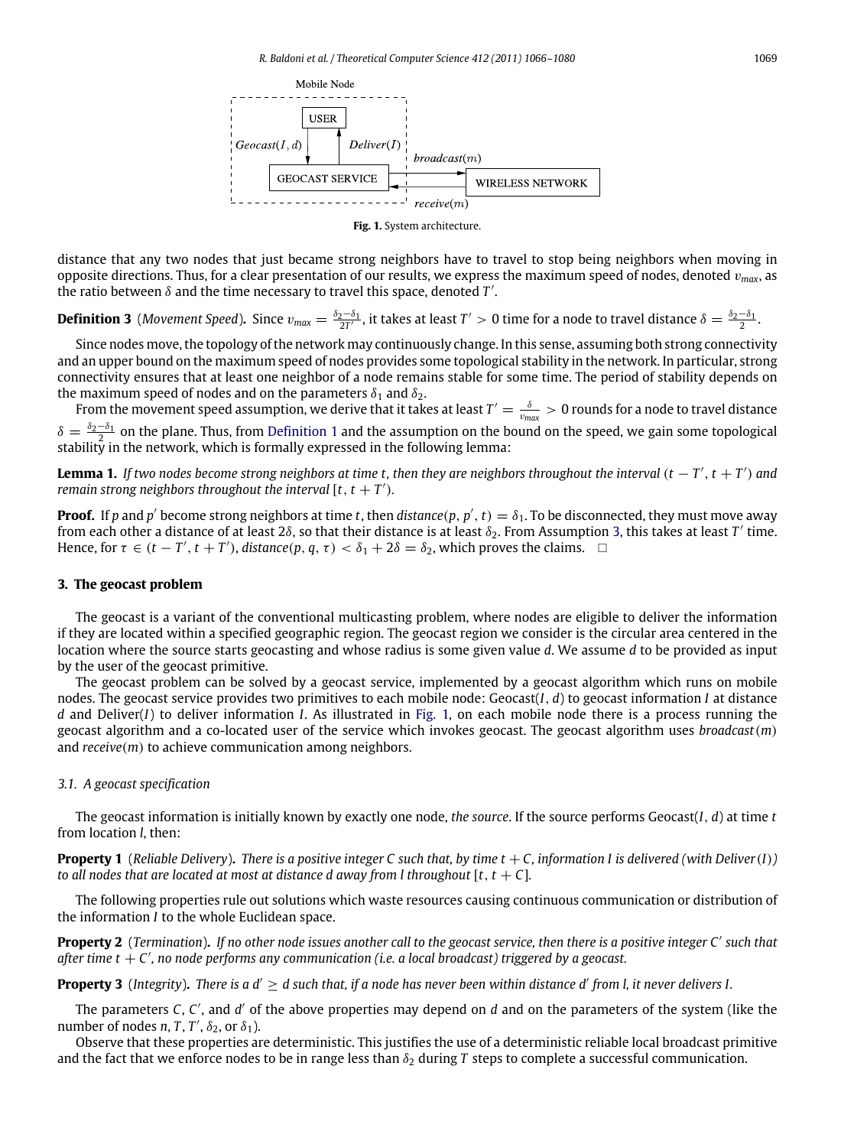<span id="page-3-2"></span>

**Fig. 1.** System architecture.

distance that any two nodes that just became strong neighbors have to travel to stop being neighbors when moving in opposite directions. Thus, for a clear presentation of our results, we express the maximum speed of nodes, denoted  $v_{max}$ , as the ratio between  $\delta$  and the time necessary to travel this space, denoted  $T'$ .

# <span id="page-3-1"></span>**Definition 3** (Movement Speed). Since  $v_{max} = \frac{\delta_2-\delta_1}{2T'}$ , it takes at least  $T' > 0$  time for a node to travel distance  $\delta = \frac{\delta_2-\delta_1}{2}$ .

Since nodes move, the topology of the network may continuously change. In this sense, assuming both strong connectivity and an upper bound on the maximum speed of nodes provides some topological stability in the network. In particular, strong connectivity ensures that at least one neighbor of a node remains stable for some time. The period of stability depends on the maximum speed of nodes and on the parameters  $\delta_1$  and  $\delta_2$ .

From the movement speed assumption, we derive that it takes at least  $T'=\frac{\delta}{v_{max}}>0$  rounds for a node to travel distance  $\delta = \frac{\delta_2 - \delta_1}{\delta_1}$  $\delta = \frac{\delta_2 - \delta_1}{\delta_1}$  $\delta = \frac{\delta_2 - \delta_1}{\delta_1}$  on the plane. Thus, from [Definition](#page-2-2) 1 and the assumption on the bound on the speed, we gain some topological stability in the network, which is formally expressed in the following lemma:

<span id="page-3-3"></span>**Lemma 1.** *If two nodes become strong neighbors at time t, then they are neighbors throughout the interval* (*t* − *T* ′ , *t* + *T* ′ ) *and remain strong neighbors throughout the interval*  $[t, t + T')$ *.* 

**Proof.** If p and p' become strong neighbors at time t, then distance(p, p', t) =  $\delta_1$ . To be disconnected, they must move away from each other a distance of at least 28, so that their distance is at least  $\delta_2$ . From Assumption [3,](#page-3-1) this takes at least  $T'$  time. Hence, for  $\tau \in (t - T', t + T')$ , *distance* $(p, q, \tau) < \delta_1 + 2\delta = \delta_2$ , which proves the claims.  $\Box$ 

### <span id="page-3-0"></span>**3. The geocast problem**

The geocast is a variant of the conventional multicasting problem, where nodes are eligible to deliver the information if they are located within a specified geographic region. The geocast region we consider is the circular area centered in the location where the source starts geocasting and whose radius is some given value *d*. We assume *d* to be provided as input by the user of the geocast primitive.

The geocast problem can be solved by a geocast service, implemented by a geocast algorithm which runs on mobile nodes. The geocast service provides two primitives to each mobile node: Geocast(*I*, *d*) to geocast information *I* at distance *d* and Deliver(*I*) to deliver information *I*. As illustrated in [Fig.](#page-3-2) [1,](#page-3-2) on each mobile node there is a process running the geocast algorithm and a co-located user of the service which invokes geocast. The geocast algorithm uses *broadcast*(*m*) and *receive*(*m*) to achieve communication among neighbors.

#### *3.1. A geocast specification*

The geocast information is initially known by exactly one node, *the source*. If the source performs Geocast(*I*, *d*) at time *t* from location *l*, then:

<span id="page-3-4"></span>**Property 1** (*Reliable Delivery*). There is a positive integer C such that, by time  $t + C$ , information I is delivered (with Deliver(I)) *to all nodes that are located at most at distance d away from l throughout*  $[t, t + C]$ *.* 

The following properties rule out solutions which waste resources causing continuous communication or distribution of the information *I* to the whole Euclidean space.

<span id="page-3-5"></span>**Property 2** (*Termination*)**.** *If no other node issues another call to the geocast service, then there is a positive integer C*′ *such that after time t* + *C* ′ *, no node performs any communication (i.e. a local broadcast) triggered by a geocast.*

<span id="page-3-6"></span>**Property 3** (*Integrity*)**.** *There is a d*′ ≥ *d such that, if a node has never been within distance d*′ *from l, it never delivers I.*

The parameters C, C', and d' of the above properties may depend on d and on the parameters of the system (like the number of nodes *n*, *T*, *T'*,  $\delta_2$ , or  $\delta_1$ ).

Observe that these properties are deterministic. This justifies the use of a deterministic reliable local broadcast primitive and the fact that we enforce nodes to be in range less than  $\delta_2$  during *T* steps to complete a successful communication.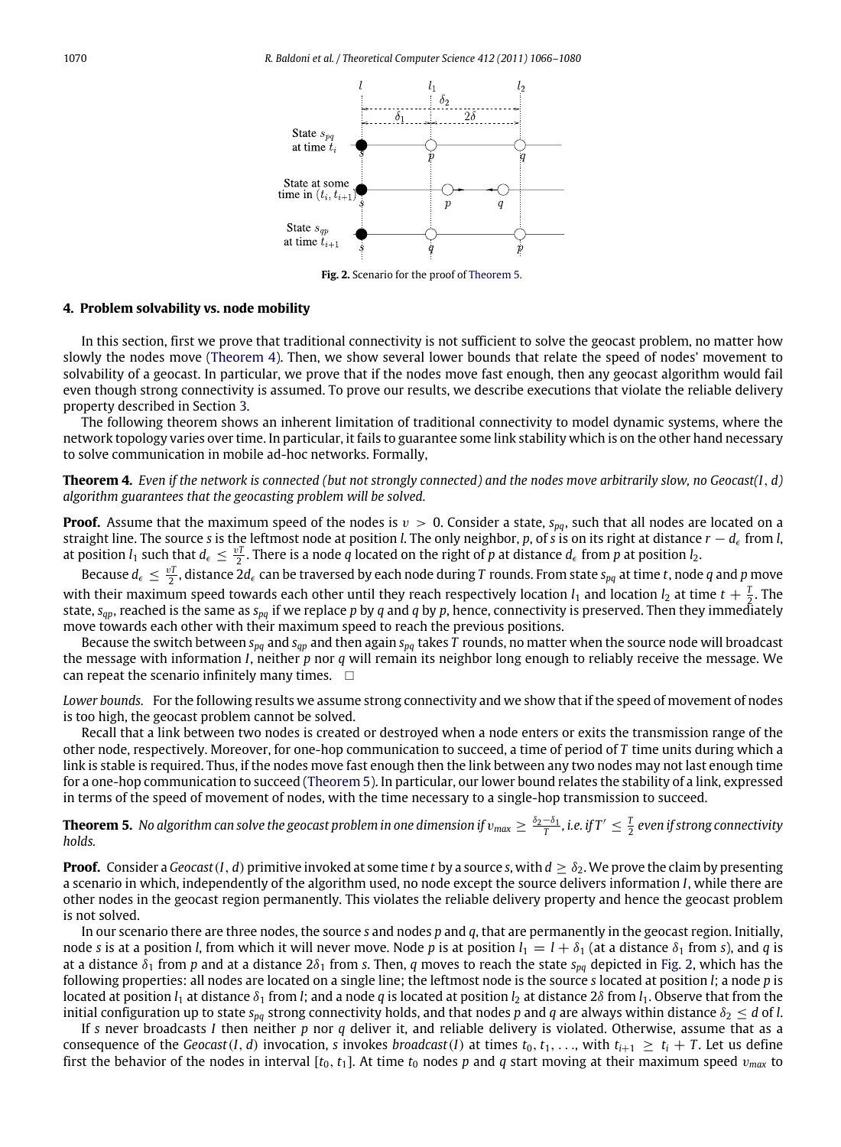<span id="page-4-3"></span>

**Fig. 2.** Scenario for the proof of [Theorem](#page-4-2) [5.](#page-4-2)

#### <span id="page-4-0"></span>**4. Problem solvability vs. node mobility**

In this section, first we prove that traditional connectivity is not sufficient to solve the geocast problem, no matter how slowly the nodes move [\(Theorem](#page-4-1) [4\)](#page-4-1). Then, we show several lower bounds that relate the speed of nodes' movement to solvability of a geocast. In particular, we prove that if the nodes move fast enough, then any geocast algorithm would fail even though strong connectivity is assumed. To prove our results, we describe executions that violate the reliable delivery property described in Section [3.](#page-3-0)

The following theorem shows an inherent limitation of traditional connectivity to model dynamic systems, where the network topology varies over time. In particular, it fails to guarantee some link stability which is on the other hand necessary to solve communication in mobile ad-hoc networks. Formally,

<span id="page-4-1"></span>**Theorem 4.** *Even if the network is connected (but not strongly connected) and the nodes move arbitrarily slow, no Geocast(I*, *d) algorithm guarantees that the geocasting problem will be solved.*

**Proof.** Assume that the maximum speed of the nodes is  $v > 0$ . Consider a state,  $s_{pq}$ , such that all nodes are located on a straight line. The source *s* is the leftmost node at position *l*. The only neighbor, *p*, of *s* is on its right at distance *r* − *d*<sup>ϵ</sup> from *l*, at position  $l_1$  such that  $d_\epsilon \leq \frac{v}{2}$ . There is a node *q* located on the right of *p* at distance  $d_\epsilon$  from *p* at position  $l_2$ .

Because  $d_\epsilon\leq \frac{vT}{2}$ , distance 2 $d_\epsilon$  can be traversed by each node during T rounds. From state  $s_{pq}$  at time  $t$ , node  $q$  and  $p$  move with their maximum speed towards each other until they reach respectively location  $l_1$  and location  $l_2$  at time  $t+\frac{T}{2}$ . The state, *sqp*, reached is the same as *spq* if we replace *p* by *q* and *q* by *p*, hence, connectivity is preserved. Then they immediately move towards each other with their maximum speed to reach the previous positions.

Because the switch between *spq* and *sqp* and then again *spq* takes *T* rounds, no matter when the source node will broadcast the message with information *I*, neither *p* nor *q* will remain its neighbor long enough to reliably receive the message. We can repeat the scenario infinitely many times.  $\square$ 

*Lower bounds.* For the following results we assume strong connectivity and we show that if the speed of movement of nodes is too high, the geocast problem cannot be solved.

Recall that a link between two nodes is created or destroyed when a node enters or exits the transmission range of the other node, respectively. Moreover, for one-hop communication to succeed, a time of period of *T* time units during which a link is stable is required. Thus, if the nodes move fast enough then the link between any two nodes may not last enough time for a one-hop communication to succeed [\(Theorem](#page-4-2) [5\)](#page-4-2). In particular, our lower bound relates the stability of a link, expressed in terms of the speed of movement of nodes, with the time necessary to a single-hop transmission to succeed.

<span id="page-4-2"></span>**Theorem 5.** No algorithm can solve the geocast problem in one dimension if  $v_{max}\geq \frac{\delta_2-\delta_1}{T}$ , i.e. if  $T'\leq \frac{T}{2}$  even if strong connectivity *holds.*

**Proof.** Consider a *Geocast*(*I*, *d*) primitive invoked at some time *t* by a source *s*, with  $d > \delta_2$ . We prove the claim by presenting a scenario in which, independently of the algorithm used, no node except the source delivers information *I*, while there are other nodes in the geocast region permanently. This violates the reliable delivery property and hence the geocast problem is not solved.

In our scenario there are three nodes, the source *s* and nodes *p* and *q*, that are permanently in the geocast region. Initially, node *s* is at a position *l*, from which it will never move. Node *p* is at position  $l_1 = l + \delta_1$  (at a distance  $\delta_1$  from *s*), and *q* is at a distance  $\delta_1$  from *p* and at a distance  $2\delta_1$  from *s*. Then, *q* moves to reach the state  $s_{pq}$  depicted in [Fig.](#page-4-3) [2,](#page-4-3) which has the following properties: all nodes are located on a single line; the leftmost node is the source *s* located at position *l*; a node *p* is located at position  $l_1$  at distance  $\delta_1$  from *l*; and a node *q* is located at position  $l_2$  at distance 2 $\delta$  from  $l_1$ . Observe that from the initial configuration up to state  $s_{pq}$  strong connectivity holds, and that nodes p and q are always within distance  $\delta_2 \leq d$  of *l*.

If *s* never broadcasts *I* then neither *p* nor *q* deliver it, and reliable delivery is violated. Otherwise, assume that as a consequence of the *Geocast*(*I*, *d*) invocation, *s* invokes *broadcast*(*I*) at times  $t_0, t_1, \ldots$ , with  $t_{i+1} \geq t_i + T$ . Let us define first the behavior of the nodes in interval  $[t_0, t_1]$ . At time  $t_0$  nodes  $p$  and  $q$  start moving at their maximum speed  $v_{max}$  to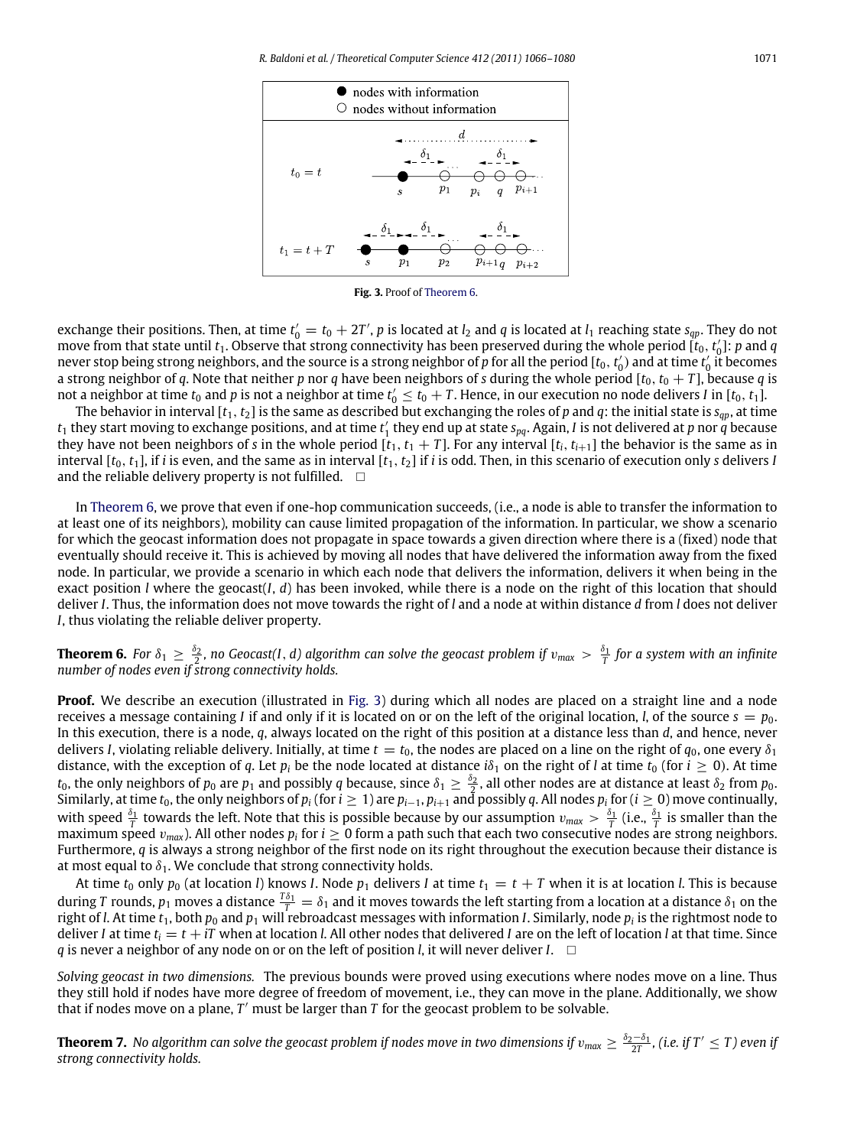<span id="page-5-2"></span>

**Fig. 3.** Proof of [Theorem](#page-5-1) [6.](#page-5-1)

exchange their positions. Then, at time  $t'_0 = t_0 + 2T'$ , p is located at  $l_2$  and q is located at  $l_1$  reaching state  $s_{qp}$ . They do not move from that state until  $t_1$ . Observe that strong connectivity has been preserved during the whole period  $[t_0, t'_0]$ : *p* and *q* never stop being strong neighbors, and the source is a strong neighbor of  $p$  for all the period [ $t_0, t'_0$ ] and at time  $t'_0$  it becomes a strong neighbor of *q*. Note that neither *p* nor *q* have been neighbors of *s* during the whole period  $[t_0, t_0 + T]$ , because *q* is not a neighbor at time  $t_0$  and  $p$  is not a neighbor at time  $t_0' \le t_0+T.$  Hence, in our execution no node delivers *I* in [ $t_0, t_1$ ].

The behavior in interval  $[t_1, t_2]$  is the same as described but exchanging the roles of *p* and *q*: the initial state is  $s_{qp}$ , at time  $t_1$  they start moving to exchange positions, and at time  $t'_1$  they end up at state  $s_{pq}$ . Again, *I* is not delivered at *p* nor *q* because they have not been neighbors of *s* in the whole period  $[t_1, t_1 + T]$ . For any interval  $[t_i, t_{i+1}]$  the behavior is the same as in interval  $[t_0, t_1]$ , if *i* is even, and the same as in interval  $[t_1, t_2]$  if *i* is odd. Then, in this scenario of execution only *s* delivers *I* and the reliable delivery property is not fulfilled.  $\square$ 

In [Theorem](#page-5-1) [6,](#page-5-1) we prove that even if one-hop communication succeeds, (i.e., a node is able to transfer the information to at least one of its neighbors), mobility can cause limited propagation of the information. In particular, we show a scenario for which the geocast information does not propagate in space towards a given direction where there is a (fixed) node that eventually should receive it. This is achieved by moving all nodes that have delivered the information away from the fixed node. In particular, we provide a scenario in which each node that delivers the information, delivers it when being in the exact position *l* where the geocast(*I*, *d*) has been invoked, while there is a node on the right of this location that should deliver *I*. Thus, the information does not move towards the right of *l* and a node at within distance *d* from *l* does not deliver *I*, thus violating the reliable deliver property.

<span id="page-5-1"></span>**Theorem 6.** For  $\delta_1 \ge \frac{\delta_2}{2}$ , no Geocast(I, *d*) algorithm can solve the geocast problem if  $v_{max} > \frac{\delta_1}{T}$  for a system with an infinite *number of nodes even if strong connectivity holds.*

**Proof.** We describe an execution (illustrated in [Fig.](#page-5-2) [3\)](#page-5-2) during which all nodes are placed on a straight line and a node receives a message containing *I* if and only if it is located on or on the left of the original location, *l*, of the source  $s = p_0$ . In this execution, there is a node, *q*, always located on the right of this position at a distance less than *d*, and hence, never delivers *I*, violating reliable delivery. Initially, at time  $t = t_0$ , the nodes are placed on a line on the right of  $q_0$ , one every  $\delta_1$ distance, with the exception of *q*. Let *p<sub>i</sub>* be the node located at distance  $i\delta_1$  on the right of *l* at time  $t_0$  (for  $i \ge 0$ ). At time  $t_0$ , the only neighbors of  $p_0$  are  $p_1$  and possibly *q* because, since  $\delta_1 \geq \frac{\delta_2}{2}$ , all other nodes are at distance at least  $\delta_2$  from  $p_0$ . Similarly, at time  $t_0$ , the only neighbors of  $p_i$  (for  $i\geq 1$ ) are  $p_{i-1},p_{i+1}$  and possibly  $q$ . All nodes  $p_i$  for ( $i\geq 0$ ) move continually, with speed  $\frac{\delta_1}{T}$  towards the left. Note that this is possible because by our assumption  $v_{max} > \frac{\delta_1}{T}$  (i.e.,  $\frac{\delta_1}{T}$  is smaller than the maximum speed  $v_{max}$ ). All other nodes  $p_i$  for  $i\geq 0$  form a path such that each two consecutive nodes are strong neighbors. Furthermore, *q* is always a strong neighbor of the first node on its right throughout the execution because their distance is at most equal to  $\delta_1$ . We conclude that strong connectivity holds.

At time  $t_0$  only  $p_0$  (at location *l*) knows *I*. Node  $p_1$  delivers *I* at time  $t_1 = t + T$  when it is at location *l*. This is because during *T* rounds,  $p_1$  moves a distance  $\frac{T\delta_1}{T}=\delta_1$  and it moves towards the left starting from a location at a distance  $\delta_1$  on the right of *l*. At time *t*1, both *p*<sup>0</sup> and *p*<sup>1</sup> will rebroadcast messages with information *I*. Similarly, node *p<sup>i</sup>* is the rightmost node to deliver *I* at time  $t_i = t + iT$  when at location *l*. All other nodes that delivered *I* are on the left of location *l* at that time. Since *q* is never a neighbor of any node on or on the left of position *l*, it will never deliver *I*. □

*Solving geocast in two dimensions.* The previous bounds were proved using executions where nodes move on a line. Thus they still hold if nodes have more degree of freedom of movement, i.e., they can move in the plane. Additionally, we show that if nodes move on a plane, *T* ′ must be larger than *T* for the geocast problem to be solvable.

<span id="page-5-0"></span>**Theorem 7.** No algorithm can solve the geocast problem if nodes move in two dimensions if  $v_{max}\geq \frac{\delta_2-\delta_1}{2T}$ , (i.e. if  $T'\leq T$ ) even if *strong connectivity holds.*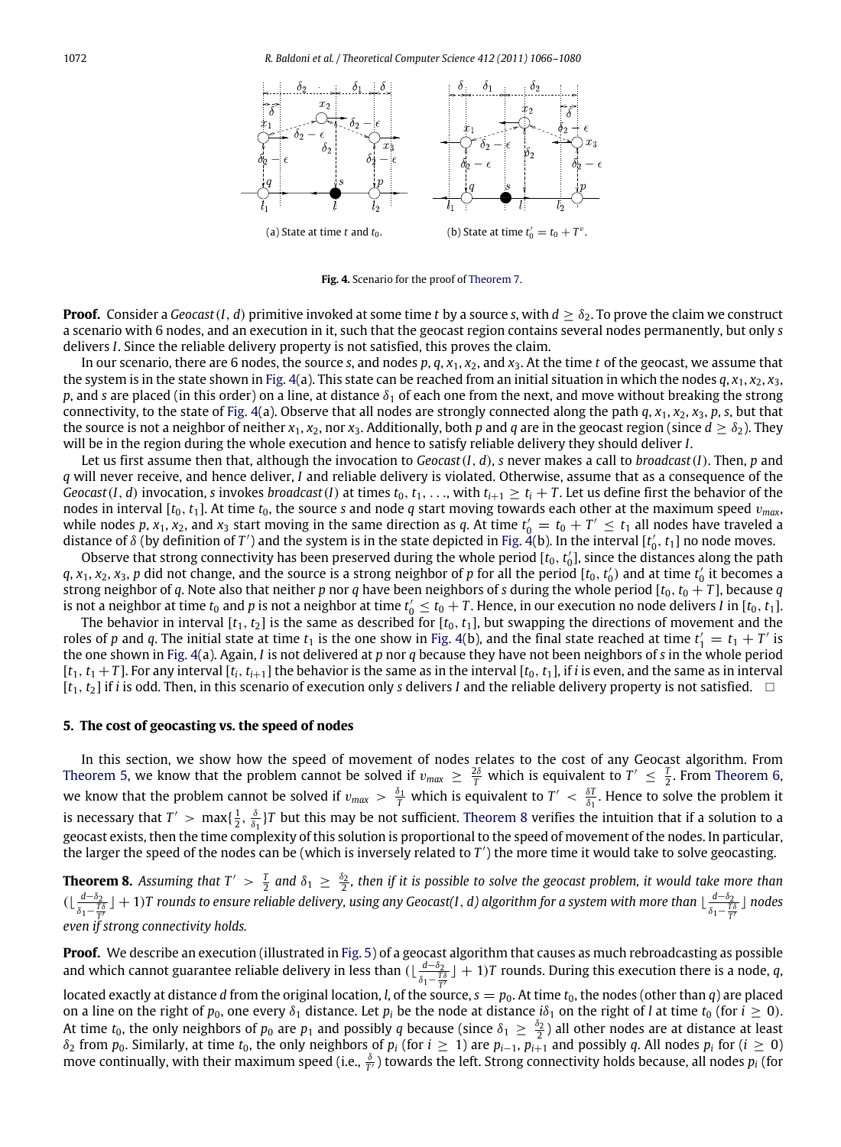<span id="page-6-2"></span>

**Fig. 4.** Scenario for the proof of [Theorem](#page-5-0) [7.](#page-5-0)

**Proof.** Consider a *Geocast*(*I*, *d*) primitive invoked at some time *t* by a source *s*, with  $d > \delta_2$ . To prove the claim we construct a scenario with 6 nodes, and an execution in it, such that the geocast region contains several nodes permanently, but only *s* delivers *I*. Since the reliable delivery property is not satisfied, this proves the claim.

In our scenario, there are 6 nodes, the source *s*, and nodes *p*, *q*, *x*1, *x*2, and *x*3. At the time *t* of the geocast, we assume that the system is in the state shown in [Fig.](#page-6-2) [4\(](#page-6-2)a). This state can be reached from an initial situation in which the nodes  $q$ ,  $x_1$ ,  $x_2$ ,  $x_3$ , *p*, and *s* are placed (in this order) on a line, at distance  $\delta_1$  of each one from the next, and move without breaking the strong connectivity, to the state of [Fig.](#page-6-2) [4\(](#page-6-2)a). Observe that all nodes are strongly connected along the path  $q$ ,  $x_1$ ,  $x_2$ ,  $x_3$ ,  $p$ ,  $s$ , but that the source is not a neighbor of neither  $x_1, x_2$ , nor  $x_3$ . Additionally, both p and q are in the geocast region (since  $d > \delta_2$ ). They will be in the region during the whole execution and hence to satisfy reliable delivery they should deliver *I*.

Let us first assume then that, although the invocation to *Geocast*(*I*, *d*), *s* never makes a call to *broadcast*(*I*). Then, *p* and *q* will never receive, and hence deliver, *I* and reliable delivery is violated. Otherwise, assume that as a consequence of the *Geocast*(*I*, *d*) invocation, *s* invokes *broadcast*(*I*) at times  $t_0, t_1, \ldots$ , with  $t_{i+1} \geq t_i + T$ . Let us define first the behavior of the nodes in interval  $[t_0, t_1]$ . At time  $t_0$ , the source *s* and node *q* start moving towards each other at the maximum speed  $v_{max}$ , while nodes  $p$ ,  $x_1$ ,  $x_2$ , and  $x_3$  start moving in the same direction as  $q$ . At time  $t'_0 = t_0 + T' \le t_1$  all nodes have traveled a distance of  $\delta$  (by definition of  $T'$ ) and the system is in the state depicted in [Fig.](#page-6-2) [4\(](#page-6-2)b). In the interval [ $t'_0,t_1$ ] no node moves.

Observe that strong connectivity has been preserved during the whole period  $[t_0, t'_0]$ , since the distances along the path  $q$ ,  $x_1$ ,  $x_2$ ,  $x_3$ ,  $p$  did not change, and the source is a strong neighbor of  $p$  for all the period  $[t_0, t'_0)$  and at time  $t'_0$  it becomes a strong neighbor of *q*. Note also that neither *p* nor *q* have been neighbors of *s* during the whole period  $[t_0, t_0 + T]$ , because *q* is not a neighbor at time  $t_0$  and  $p$  is not a neighbor at time  $t_0'\le t_0+T.$  Hence, in our execution no node delivers  $I$  in [ $t_0,t_1$ ].

The behavior in interval  $[t_1, t_2]$  is the same as described for  $[t_0, t_1]$ , but swapping the directions of movement and the roles of *p* and *q*. The initial state at time  $t_1$  is the one show in [Fig.](#page-6-2) [4\(](#page-6-2)b), and the final state reached at time  $t'_1 = t_1 + T'$  is the one shown in [Fig.](#page-6-2) [4\(](#page-6-2)a). Again, *I* is not delivered at *p* nor *q* because they have not been neighbors of *s* in the whole period  $[t_1, t_1 + T]$ . For any interval  $[t_i, t_{i+1}]$  the behavior is the same as in the interval  $[t_0, t_1]$ , if *i* is even, and the same as in interval  $[t_1, t_2]$  if *i* is odd. Then, in this scenario of execution only *s* delivers *I* and the reliable delivery property is not satisfied.  $\Box$ 

## <span id="page-6-0"></span>**5. The cost of geocasting vs. the speed of nodes**

In this section, we show how the speed of movement of nodes relates to the cost of any Geocast algorithm. From [Theorem](#page-5-1) [5,](#page-4-2) we know that the problem cannot be solved if  $v_{max} \ge \frac{2\delta}{T}$  which is equivalent to  $T' \le \frac{T}{2}$ . From Theorem [6,](#page-5-1) we know that the problem cannot be solved if  $v_{max} > \frac{\delta_1}{T}$  which is equivalent to  $T' < \frac{\delta T}{\delta_1}$ . Hence to solve the problem it is necessary that  $T' > \max\{\frac{1}{2}, \frac{\delta}{\delta_1}\}$ *T* but this may be not sufficient. [Theorem](#page-6-1) [8](#page-6-1) verifies the intuition that if a solution to a geocast exists, then the time complexity of this solution is proportional to the speed of movement of the nodes. In particular, the larger the speed of the nodes can be (which is inversely related to *T* ′ ) the more time it would take to solve geocasting.

<span id="page-6-1"></span>**Theorem 8.** Assuming that  $T' > \frac{T}{2}$  and  $\delta_1 \ge \frac{\delta_2}{2}$ , then if it is possible to solve the geocast problem, it would take more than  $(\lfloor \frac{d-\delta_2}{r} \rfloor)$ *d*−δ<sub>2</sub> J + 1)*T* rounds to ensure reliable delivery, using any Geocast(I, *d*) algorithm for a system with more than  $\lfloor \frac{d-δ_2}{δ_1-\frac{T}{T}}\rfloor$ *T even if strong connectivity holds.*  $\frac{d - \delta_2}{\delta_1 - \frac{T\delta}{T'}}$  ] nodes *T*

**Proof.** We describe an execution (illustrated in [Fig.](#page-7-1) [5\)](#page-7-1) of a geocast algorithm that causes as much rebroadcasting as possible and which cannot guarantee reliable delivery in less than ( $\frac{d-\delta_2}{d}$  $\frac{d-δ_2}{δ_1-\frac{7}{\epsilon'} }$  J + 1)*T* rounds. During this execution there is a node, *q*,

located exactly at distance *d* from the original location, *l*, of the source,  $s = p_0$ . At time  $t_0$ , the nodes (other than *q*) are placed on a line on the right of  $p_0$ , one every  $\delta_1$  distance. Let  $p_i$  be the node at distance  $i\delta_1$  on the right of *l* at time  $t_0$  (for  $i \ge 0$ ). At time  $t_0$ , the only neighbors of  $p_0$  are  $p_1$  and possibly *q* because (since  $\delta_1 \ge \frac{\delta_2}{2}$ ) all other nodes are at distance at least  $\delta_2$  from  $p_0$ . Similarly, at time  $t_0$ , the only neighbors of  $p_i$  (for  $i \geq 1$ ) are  $p_{i-1}$ ,  $p_{i+1}$  and possibly q. All nodes  $p_i$  for ( $i \geq 0$ ) move continually, with their maximum speed (i.e.,  $\frac{\delta}{T'}$ ) towards the left. Strong connectivity holds because, all nodes  $p_i$  (for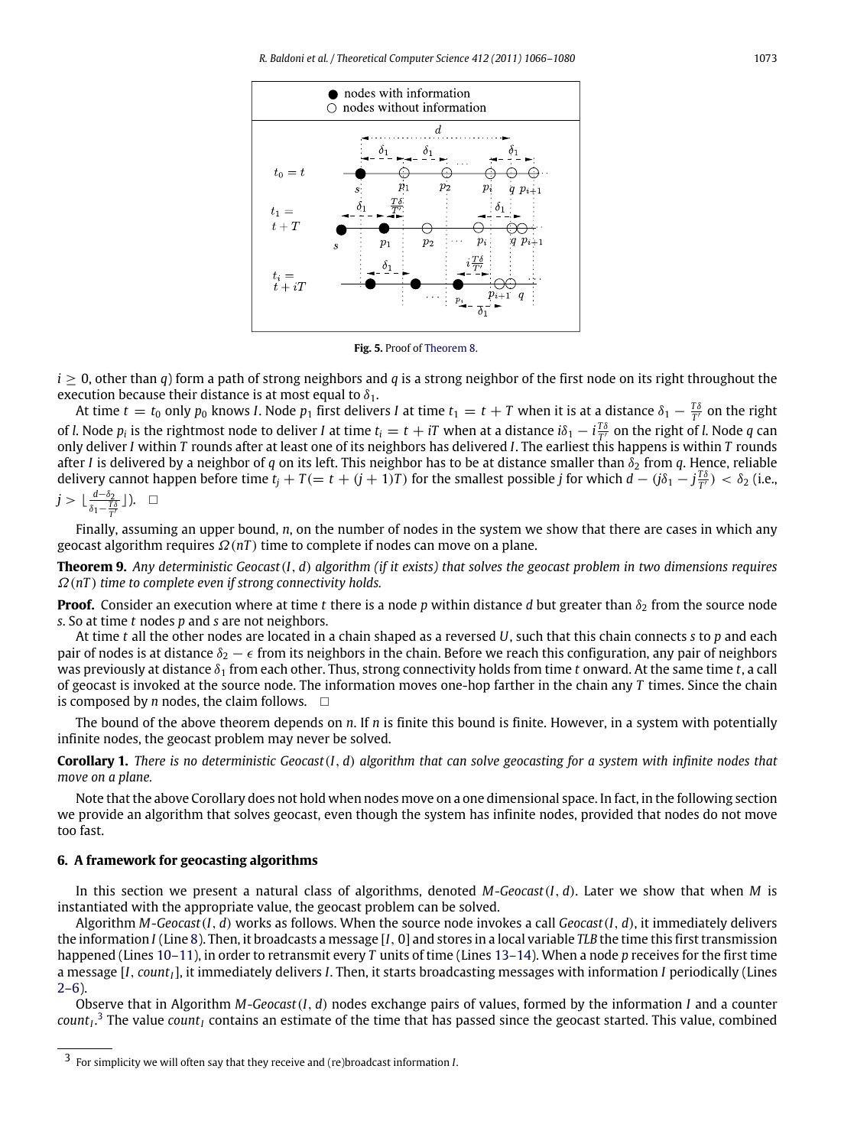<span id="page-7-1"></span>

**Fig. 5.** Proof of [Theorem](#page-6-1) [8.](#page-6-1)

 $i > 0$ , other than *q*) form a path of strong neighbors and *q* is a strong neighbor of the first node on its right throughout the execution because their distance is at most equal to  $\delta_1$ .

At time  $t=t_0$  only  $p_0$  knows *I*. Node  $p_1$  first delivers *I* at time  $t_1=t+T$  when it is at a distance  $\delta_1-\frac{T\delta}{T'}$  on the right of *l*. Node  $p_i$  is the rightmost node to deliver *I* at time  $t_i = t + iT$  when at a distance  $i\delta_1 - i\frac{T\delta}{T'}$  on the right of *l*. Node *q* can *T* only deliver *I* within *T* rounds after at least one of its neighbors has delivered *I*. The earliest this happens is within *T* rounds after *I* is delivered by a neighbor of *q* on its left. This neighbor has to be at distance smaller than  $\delta_2$  from *q*. Hence, reliable delivery cannot happen before time  $t_j + T (= t + (j + 1)T)$  for the smallest possible *j* for which  $d - (j\delta_1 - j\frac{T\delta}{T'}) < \delta_2$  (i.e., *<sup>d</sup>*−δ<sup>2</sup>

$$
j > \lfloor \tfrac{d-\delta_2}{\delta_1 - \tfrac{T\delta}{T'}} \rfloor \big).
$$

Finally, assuming an upper bound, *n*, on the number of nodes in the system we show that there are cases in which any geocast algorithm requires  $\Omega(nT)$  time to complete if nodes can move on a plane.

<span id="page-7-0"></span>**Theorem 9.** *Any deterministic Geocast*(*I*, *d*) *algorithm (if it exists) that solves the geocast problem in two dimensions requires* Ω(*nT* ) *time to complete even if strong connectivity holds.*

**Proof.** Consider an execution where at time *t* there is a node *p* within distance *d* but greater than  $\delta_2$  from the source node *s*. So at time *t* nodes *p* and *s* are not neighbors.

At time *t* all the other nodes are located in a chain shaped as a reversed *U*, such that this chain connects *s* to *p* and each pair of nodes is at distance  $\delta_2 - \epsilon$  from its neighbors in the chain. Before we reach this configuration, any pair of neighbors was previously at distance δ<sup>1</sup> from each other. Thus, strong connectivity holds from time *t* onward. At the same time *t*, a call of geocast is invoked at the source node. The information moves one-hop farther in the chain any *T* times. Since the chain is composed by *n* nodes, the claim follows.  $\Box$ 

The bound of the above theorem depends on *n*. If *n* is finite this bound is finite. However, in a system with potentially infinite nodes, the geocast problem may never be solved.

<span id="page-7-3"></span>**Corollary 1.** *There is no deterministic Geocast*(*I*, *d*) *algorithm that can solve geocasting for a system with infinite nodes that move on a plane.*

Note that the above Corollary does not hold when nodes move on a one dimensional space. In fact, in the following section we provide an algorithm that solves geocast, even though the system has infinite nodes, provided that nodes do not move too fast.

# **6. A framework for geocasting algorithms**

In this section we present a natural class of algorithms, denoted *M*-*Geocast*(*I*, *d*). Later we show that when *M* is instantiated with the appropriate value, the geocast problem can be solved.

Algorithm *M*-*Geocast*(*I*, *d*) works as follows. When the source node invokes a call *Geocast*(*I*, *d*), it immediately delivers the information *I* (Line [8\)](#page-0-7). Then, it broadcasts a message [*I*, 0] and stores in a local variable *TLB* the time this first transmission happened (Lines [10–11\)](#page-0-7), in order to retransmit every *T* units of time (Lines [13–14\)](#page-0-7). When a node *p* receives for the first time a message [*I*, *countI*], it immediately delivers *I*. Then, it starts broadcasting messages with information *I* periodically (Lines  $2-6$ ).

Observe that in Algorithm *M*-*Geocast*(*I*, *d*) nodes exchange pairs of values, formed by the information *I* and a counter *count<sup>I</sup>* . [3](#page-7-2) The value *count<sup>I</sup>* contains an estimate of the time that has passed since the geocast started. This value, combined

<span id="page-7-2"></span><sup>3</sup> For simplicity we will often say that they receive and (re)broadcast information *I*.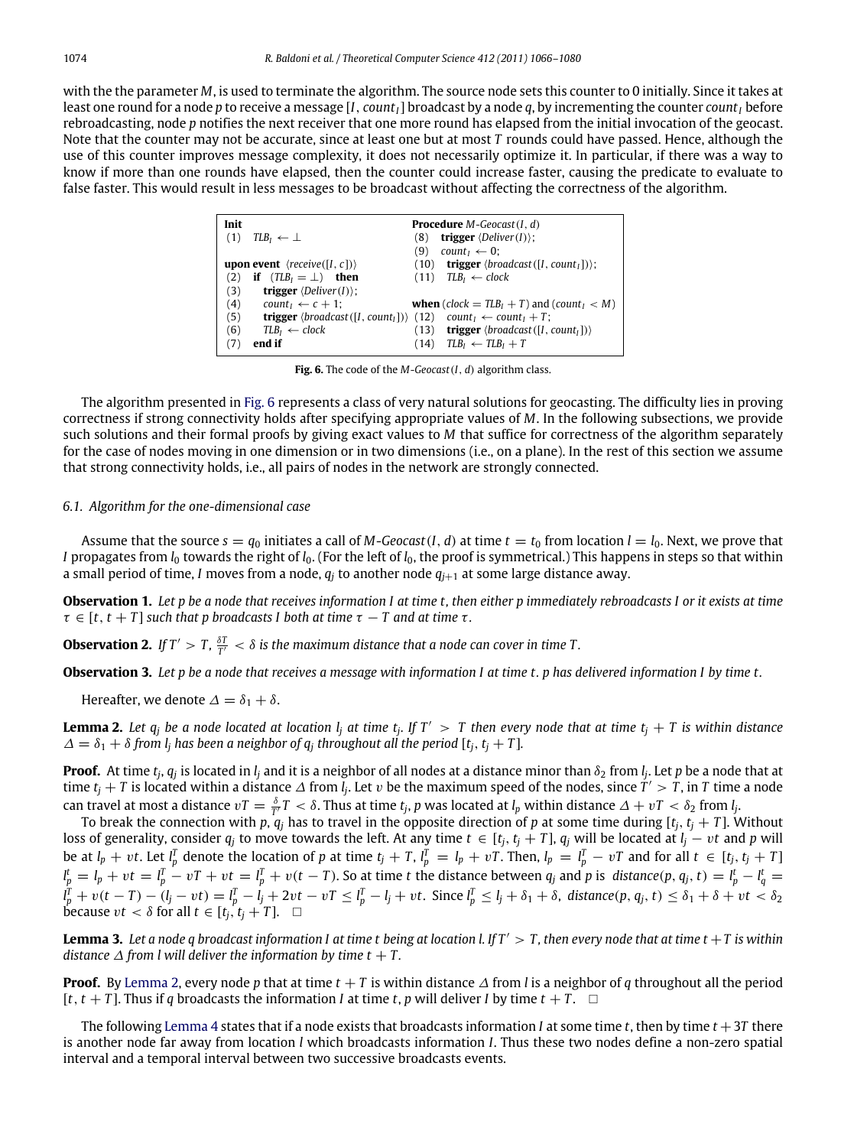<span id="page-8-1"></span>with the the parameter *M*, is used to terminate the algorithm. The source node sets this counter to 0 initially. Since it takes at least one round for a node *p* to receive a message [*I*, *countI*] broadcast by a node *q*, by incrementing the counter *count<sup>I</sup>* before rebroadcasting, node *p* notifies the next receiver that one more round has elapsed from the initial invocation of the geocast. Note that the counter may not be accurate, since at least one but at most *T* rounds could have passed. Hence, although the use of this counter improves message complexity, it does not necessarily optimize it. In particular, if there was a way to know if more than one rounds have elapsed, then the counter could increase faster, causing the predicate to evaluate to false faster. This would result in less messages to be broadcast without affecting the correctness of the algorithm.

| Init |                                                                                                                         |      | <b>Procedure</b> <i>M</i> -Geocast(I, d)                                        |  |
|------|-------------------------------------------------------------------------------------------------------------------------|------|---------------------------------------------------------------------------------|--|
| (1)  | $TLB_1 \leftarrow \perp$                                                                                                | (8)  | <b>trigger</b> $\langle$ <i>Deliver</i> $(I)$ :                                 |  |
|      |                                                                                                                         | (9)  | count <sub><math>1 \leftarrow 0</math>;</sub>                                   |  |
|      | <b>upon event</b> $\langle receive([I, c]) \rangle$                                                                     |      | $(10)$ trigger $\langle broadcast([I, count_I])\rangle$ ;                       |  |
| (2)  | if $(TLB_1 = \bot)$ then                                                                                                |      | $(11)$ $TLB_1 \leftarrow clock$                                                 |  |
| (3)  | <b>trigger</b> $\langle$ <i>Deliver</i> $(I)$ :                                                                         |      |                                                                                 |  |
| (4)  | $count_1 \leftarrow c + 1$ ;                                                                                            |      | <b>when</b> ( <i>clock</i> = $TLB_1 + T$ ) and ( <i>count</i> <sub>1</sub> < M) |  |
| (5)  | <b>trigger</b> $\langle$ broadcast $([I, count_I])\rangle$ (12) count <sub>I</sub> $\leftarrow$ count <sub>I</sub> + T; |      |                                                                                 |  |
| (6)  | $TLB_1 \leftarrow clock$                                                                                                | (13) | <b>trigger</b> $\langle broadcast([I, count_I])\rangle$                         |  |
|      | end if                                                                                                                  | (14) | $TLB_1 \leftarrow TLB_1 + T$                                                    |  |

**Fig. 6.** The code of the *M*-*Geocast*(*I*, *d*) algorithm class.

The algorithm presented in [Fig.](#page-8-1) [6](#page-8-1) represents a class of very natural solutions for geocasting. The difficulty lies in proving correctness if strong connectivity holds after specifying appropriate values of *M*. In the following subsections, we provide such solutions and their formal proofs by giving exact values to *M* that suffice for correctness of the algorithm separately for the case of nodes moving in one dimension or in two dimensions (i.e., on a plane). In the rest of this section we assume that strong connectivity holds, i.e., all pairs of nodes in the network are strongly connected.

# <span id="page-8-0"></span>*6.1. Algorithm for the one-dimensional case*

Assume that the source  $s = q_0$  initiates a call of *M*-*Geocast*(*I*, *d*) at time  $t = t_0$  from location  $l = l_0$ . Next, we prove that *I* propagates from *l*<sub>0</sub> towards the right of *l*<sub>0</sub>. (For the left of *l*<sub>0</sub>, the proof is symmetrical.) This happens in steps so that within a small period of time, *I* moves from a node,  $q_i$  to another node  $q_{i+1}$  at some large distance away.

<span id="page-8-5"></span>**Observation 1.** *Let p be a node that receives information I at time t, then either p immediately rebroadcasts I or it exists at time*  $\tau \in [t, t + T]$  *such that p broadcasts I both at time*  $\tau - T$  *and at time*  $\tau$ *.* 

<span id="page-8-6"></span>**Observation 2.** If  $T' > T$ ,  $\frac{\delta T}{T'} < \delta$  is the maximum distance that a node can cover in time T.

<span id="page-8-7"></span>**Observation 3.** *Let p be a node that receives a message with information I at time t. p has delivered information I by time t.*

Hereafter, we denote  $\Delta = \delta_1 + \delta$ .

<span id="page-8-2"></span>**Lemma 2.** Let  $q_j$  be a node located at location  $l_j$  at time  $t_j$ . If  $T' > T$  then every node that at time  $t_j + T$  is within distance  $\Delta = \delta_1 + \delta$  from *l<sub>j</sub>* has been a neighbor of  $q_i$  throughout all the period  $[t_i, t_i + T]$ .

**Proof.** At time  $t_j$ ,  $q_j$  is located in  $l_j$  and it is a neighbor of all nodes at a distance minor than  $\delta_2$  from  $l_j$ . Let *p* be a node that at time  $t_j+T$  is located within a distance  $\varDelta$  from  $\tilde{l}_j$ . Let v be the maximum speed of the nodes, since  $T'>T$ , in T time a node can travel at most a distance  $vT = \frac{\delta}{T'}T < \delta$ . Thus at time  $t_j$ ,  $p$  was located at  $l_p$  within distance  $\Delta + vT < \delta_2$  from  $l_j$ .

To break the connection with  $p$ ,  $q_j$  has to travel in the opposite direction of  $p$  at some time during  $[t_j, t_j + T]$ . Without loss of generality, consider  $q_j$  to move towards the left. At any time  $t \in [t_j, t_j + T]$ ,  $q_j$  will be located at  $l_j - vt$  and p will be at  $l_p + vt$ . Let  $l_p^T$  denote the location of p at time  $t_j + T$ ,  $l_p^T = l_p + vT$ . Then,  $l_p = l_p^T - vT$  and for all  $t \in [t_j, t_j + T]$  $l_p^t = l_p + vt = l_p^T - vT + vt = l_p^T + v(t - T)$ . So at time t the distance between  $q_j$  and p is distance(p,  $q_j$ , t) =  $l_p^t - l_q^t$  $l_p^T + v(t - T) - (l_j - vt) = l_p^T - l_j + 2vt - vT \leq l_p^T - l_j + vt$ . Since  $l_p^T \leq l_j + \delta_1 + \delta$ , distance(p,  $q_j, t \leq \delta_1 + \delta + vt < \delta_2$ **because** *vt* < *δ* for all *t*  $\in$  [*t<sub>i</sub>*, *t<sub>i</sub>* + *T*].  $\Box$ 

<span id="page-8-4"></span>**Lemma 3.** Let a node q broadcast information I at time t being at location l. If  $T' > T$ , then every node that at time  $t + T$  is within *distance*  $\Delta$  *from l will deliver the information by time t + T.* 

**Proof.** By [Lemma](#page-8-2) [2,](#page-8-2) every node p that at time  $t + T$  is within distance  $\Delta$  from *l* is a neighbor of *q* throughout all the period  $[t, t + T]$ . Thus if *q* broadcasts the information *I* at time *t*, *p* will deliver *I* by time  $t + T$ .  $\Box$ 

<span id="page-8-3"></span>The following [Lemma](#page-8-3) [4](#page-8-3) states that if a node exists that broadcasts information *I* at some time *t*, then by time  $t + 3T$  there is another node far away from location *l* which broadcasts information *I*. Thus these two nodes define a non-zero spatial interval and a temporal interval between two successive broadcasts events.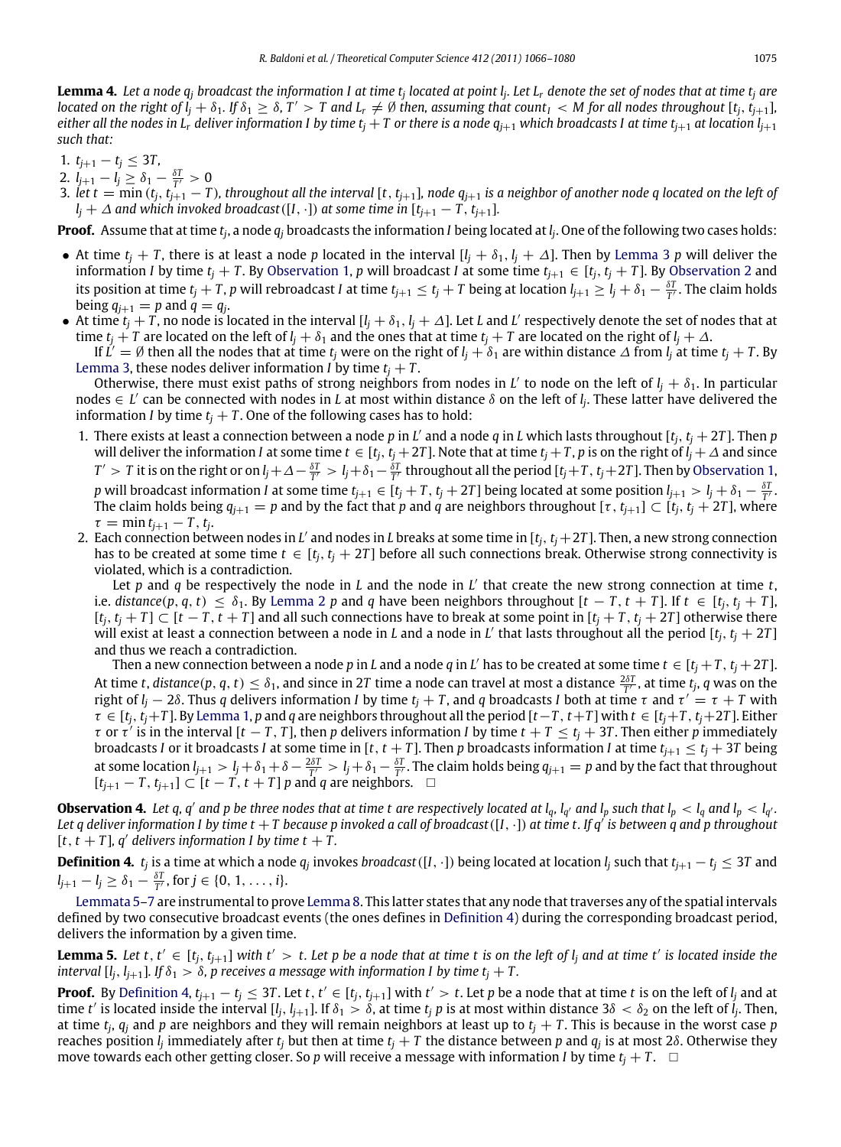**Lemma 4.** *Let a node q<sup>j</sup> broadcast the information I at time t<sup>j</sup> located at point l<sup>j</sup> . Let L<sup>r</sup> denote the set of nodes that at time t<sup>j</sup> are* located on the right of  $\tilde{l_j}+\delta_1$ . If  $\delta_1\geq\delta$ ,  $T'>T$  and  $L_r\neq\emptyset$  then, assuming that count  $_l< M$  for all nodes throughout [t $_j$ ,  $t_{j+1}$ ], *either all the nodes in L<sub><i>r*</sub> deliver information I by time  $t_i + T$  or there is a node  $q_{i+1}$  which broadcasts I at time  $t_{i+1}$  at location  $l_{i+1}$ *such that:*

- 1.  $t_{j+1} t_j \leq 3T$ ,
- 2.  $l_{j+1} l_j \geq \delta_1 \frac{\delta T}{T'} > 0$
- 3. let  $t = min(t_i, t_{i+1} T)$ , throughout all the interval [t, t<sub>j+1</sub>], node  $q_{i+1}$  is a neighbor of another node q located on the left of  $l_j + \Delta$  and which invoked broadcast ([I, ·]) at some time in  $[t_{j+1} - T, t_{j+1}]$ .

**Proof.** Assume that at time *t<sup>j</sup>* , a node *q<sup>j</sup>* broadcasts the information *I* being located at *l<sup>j</sup>* . One of the following two cases holds:

- At time  $t_i + T$ , there is at least a node *p* located in the interval  $[l_i + \delta_1, l_i + \Delta]$ . Then by [Lemma](#page-8-4) [3](#page-8-4) *p* will deliver the information *I* by time  $t_i + T$ . By [Observation](#page-8-6) [1,](#page-8-5) *p* will broadcast *I* at some time  $t_{i+1} \in [t_i, t_i + T]$ . By Observation [2](#page-8-6) and its position at time  $t_j+T$ , p will rebroadcast I at time  $t_{j+1}\leq t_j+T$  being at location  $l_{j+1}\geq l_j+\delta_1-\frac{\delta T}{T}$ . The claim holds being  $q_{j+1} = p$  and  $q = q_j$ .
- At time  $t_j + T$ , no node is located in the interval  $[l_j + \delta_1, l_j + \Delta]$ . Let *L* and *L'* respectively denote the set of nodes that at time  $t_i + T$  are located on the left of  $l_i + \delta_1$  and the ones that at time  $t_i + T$  are located on the right of  $l_i + \Delta$ .

If  $L'=\emptyset$  then all the nodes that at time  $t_j$  were on the right of  $l_j+\delta_1$  are within distance  $\varDelta$  from  $l_j$  at time  $t_j+T$ . By [Lemma](#page-8-4) [3,](#page-8-4) these nodes deliver information *I* by time  $t_i + T$ .

Otherwise, there must exist paths of strong neighbors from nodes in *L'* to node on the left of  $l_j + \delta_1$ . In particular nodes ∈ *L* ′ can be connected with nodes in *L* at most within distance δ on the left of *l<sup>j</sup>* . These latter have delivered the information *I* by time  $t_i + T$ . One of the following cases has to hold:

- 1. There exists at least a connection between a node *p* in *L* ′ and a node *q* in *L* which lasts throughout [*tj*, *t<sup>j</sup>* + 2*T* ]. Then *p* will deliver the information *I* at some time  $t \in [t_j, t_j + 2T]$ . Note that at time  $t_j + T$ , p is on the right of  $l_j + \Delta$  and since  $T'>T$  it is on the right or on  $l_j+\Delta-\frac{\delta T}{T'}>l_j+\delta_1-\frac{\delta T}{T'}$  throughout all the period [ $t_j+T$ ,  $t_j+2T$ ]. Then by [Observation](#page-8-5) [1,](#page-8-5) p will broadcast information *I* at some time  $t_{j+1} \in [t_j + T, t_j + 2T]$  being located at some position  $l_{j+1} > l_j + \delta_1 - \frac{\delta T}{T}$ . The claim holds being  $q_{j+1} = p$  and by the fact that *p* and *q* are neighbors throughout  $[\tau, t_{j+1}] \subset [t_j, t_j + 2T]$ , where  $\tau = \min t_{j+1} - T, t_j.$
- 2. Each connection between nodes in L' and nodes in L breaks at some time in [t<sub>j</sub>, t<sub>j</sub> +2T]. Then, a new strong connection has to be created at some time  $t \in [t_i, t_j + 2T]$  before all such connections break. Otherwise strong connectivity is violated, which is a contradiction.

Let *p* and *q* be respectively the node in *L* and the node in *L* ′ that create the new strong connection at time *t*, i.e. distance  $(p, q, t) \leq \delta_1$ . By [Lemma](#page-8-2) [2](#page-8-2) p and q have been neighbors throughout  $[t - T, t + T]$ . If  $t \in [t_i, t_i + T]$ ,  $[t_i, t_i + T] \subset [t - T, t + T]$  and all such connections have to break at some point in  $[t_i + T, t_i + 2T]$  otherwise there will exist at least a connection between a node in *L* and a node in *L'* that lasts throughout all the period [ $t_j$ ,  $t_j + 2T$ ] and thus we reach a contradiction.

Then a new connection between a node  $p$  in  $L$  and a node  $q$  in  $L'$  has to be created at some time  $t \in [t_j + T, t_j + 2T]$ . At time *t*, *distance*(*p*, *q*, *t*)  $\leq \delta_1$ , and since in 2*T* time a node can travel at most a distance  $\frac{2\delta T}{T'}$ , at time *t<sub>j</sub>*, *q* was on the right of *l<sup>j</sup>* − 2δ. Thus *q* delivers information *I* by time *t<sup>j</sup>* + *T* , and *q* broadcasts *I* both at time τ and τ ′ = τ + *T* with  $\tau \in [t_i, t_i + T]$ . By [Lemma](#page-3-3) [1,](#page-3-3) p and q are neighbors throughout all the period  $[t - T, t + T]$  with  $t \in [t_i + T, t_i + 2T]$ . Either  $\tau$  or  $\tau'$  is in the interval [ $t$  –  $T$ ,  $T$ ], then  $p$  delivers information *I* by time  $t$  +  $T \le t_j$  + 3 $T$ . Then either  $p$  immediately broadcasts *I* or it broadcasts *I* at some time in [t, t + T]. Then p broadcasts information *I* at time  $t_{j+1} \le t_j + 3T$  being at some location  $l_{j+1} > l_j + \delta_1 + \delta - \frac{2\delta T}{T'} > l_j + \delta_1 - \frac{\delta T}{T'}$ . The claim holds being  $q_{j+1} = p$  and by the fact that throughout  $[t_{j+1} - T, t_{j+1}]$  ⊂  $[t - T, t + T]$  *p* and *q* are neighbors. □

<span id="page-9-3"></span>**Observation 4.** Let q, q' and p be three nodes that at time t are respectively located at  $l_q$ ,  $l_{q'}$  and  $l_p$  such that  $l_p$  <  $l_q$  and  $l_p$  <  $l_{q'}$ . *Let q deliver information I by time t* +*T because p invoked a call of broadcast*([*I*, ·]) *at time t. If q*′ *is between q and p throughout*  $[t, t + T]$ , q' delivers information I by time  $t + T$ .

<span id="page-9-1"></span>**Definition 4.**  $t_j$  is a time at which a node  $q_j$  invokes broadcast ([I,  $\cdot$ ]) being located at location  $l_j$  such that  $t_{j+1}-t_j\leq 3T$  and  $l_{j+1} - l_j \geq \delta_1 - \frac{\delta T}{T'}$ , for  $j \in \{0, 1, ..., i\}$ .

[Lemmata](#page-9-0) [5–](#page-9-0)[7](#page-10-0) are instrumental to prove [Lemma](#page-10-1) [8.](#page-10-1) This latter states that any node that traverses any of the spatial intervals defined by two consecutive broadcast events (the ones defines in [Definition](#page-9-1) [4\)](#page-9-1) during the corresponding broadcast period, delivers the information by a given time.

<span id="page-9-0"></span>**Lemma 5.** Let  $t, t' \in [t_j, t_{j+1}]$  with  $t' > t$ . Let p be a node that at time  $t$  is on the left of  $l_j$  and at time  $t'$  is located inside the *interval*  $[I_j, I_{j+1}]$ *. If*  $\delta_1 > \delta$ *, p receives a message with information I by time t<sub><i>i*</sub> + T.

<span id="page-9-2"></span>**Proof.** By [Definition](#page-9-1) [4,](#page-9-1)  $t_{j+1} - t_j \le 3T$ . Let t,  $t' \in [t_j, t_{j+1}]$  with  $t' > t$ . Let p be a node that at time t is on the left of  $l_j$  and at time *t'* is located inside the interval [*l<sub>j</sub>*, *l<sub>j+1</sub>*]. If  $\delta_1 > \delta$ , at time *t<sub>j</sub> p* is at most within distance 3 $\delta < \delta_2$  on the left of *l<sub>j</sub>*. Then, at time *t<sup>j</sup>* , *q<sup>j</sup>* and *p* are neighbors and they will remain neighbors at least up to *t<sup>j</sup>* + *T* . This is because in the worst case *p* reaches position  $l_j$  immediately after  $t_j$  but then at time  $t_j+T$  the distance between  $p$  and  $q_j$  is at most 28. Otherwise they move towards each other getting closer. So *p* will receive a message with information *I* by time  $t_i + T$ .  $\Box$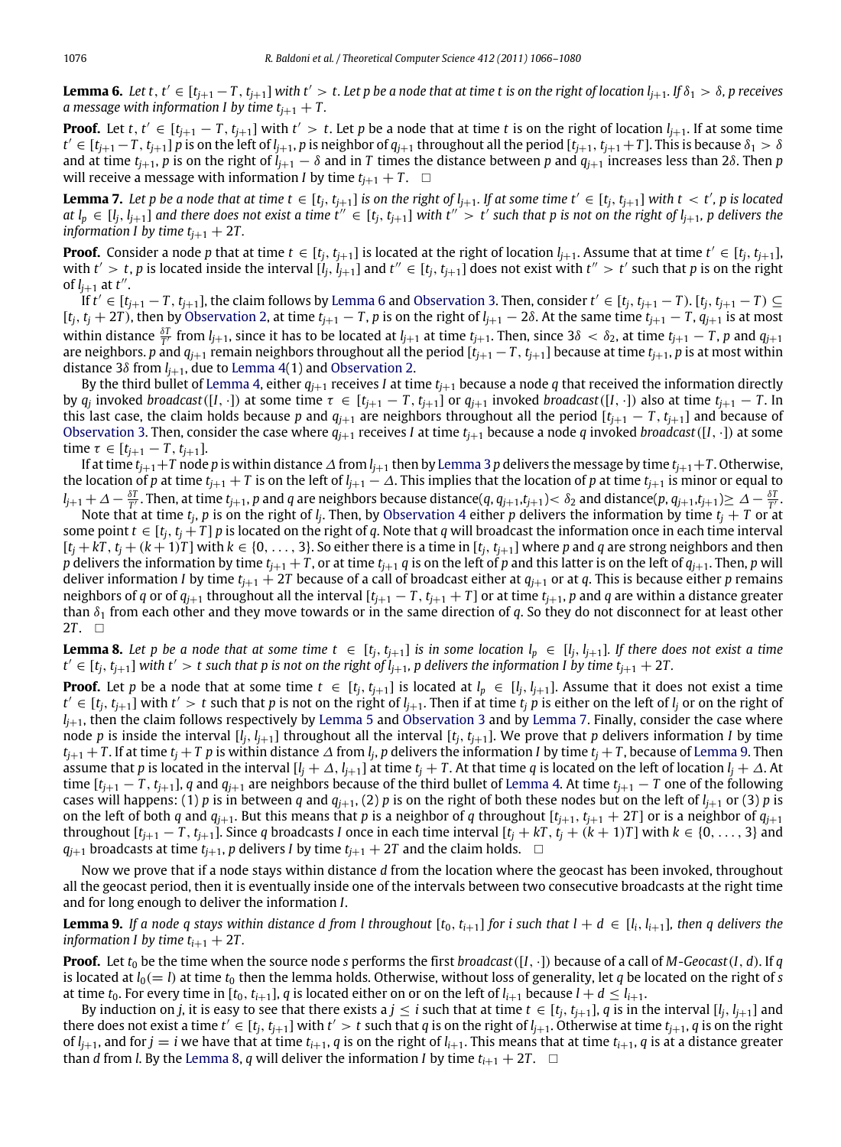**Lemma 6.** Let t, t'  $\in$  [t<sub>j+1</sub>  $-$  T, t<sub>j+1</sub>] with t'  $>$  t. Let p be a node that at time t is on the right of location  $l_{j+1}$ . If  $\delta_1 > \delta$ , p receives *a* message with information I by time  $t_{i+1} + T$ .

**Proof.** Let t,  $t' \in [t_{j+1}-T, t_{j+1}]$  with  $t' > t$ . Let p be a node that at time t is on the right of location  $l_{j+1}$ . If at some time  $t' \in [t_{j+1}-T,t_{j+1}]$  p is on the left of  $l_{j+1}$ , p is neighbor of  $q_{j+1}$  throughout all the period [ $t_{j+1}$ ,  $t_{j+1}+T$ ]. This is because  $\delta_1 > \delta$ and at time  $t_{i+1}$ , *p* is on the right of  $l_{i+1} - \delta$  and in *T* times the distance between *p* and  $q_{i+1}$  increases less than 2 $\delta$ . Then *p* will receive a message with information *I* by time  $t_{i+1} + T$ .  $\Box$ 

<span id="page-10-0"></span>**Lemma 7.** Let p be a node that at time  $t \in [t_j, t_{j+1}]$  is on the right of  $l_{j+1}$ . If at some time  $t' \in [t_j, t_{j+1}]$  with  $t < t'$ , p is located at  $l_p \in [l_j, l_{j+1}]$  and there does not exist a time  $t'' \in [t_j, t_{j+1}]$  with  $t'' > t'$  such that p is not on the right of  $l_{j+1}$ , p delivers the *information I by time*  $t_{i+1} + 2T$ .

**Proof.** Consider a node p that at time  $t \in [t_j, t_{j+1}]$  is located at the right of location  $l_{j+1}$ . Assume that at time  $t' \in [t_j, t_{j+1}]$ , with  $t'>t$ , p is located inside the interval  $[\hat{l}_j, \hat{l}_{j+1}]$  and  $t'' \in [t_j, t_{j+1}]$  does not exist with  $t'' > t'$  such that p is on the right of  $l_{j+1}$  at  $t''$ .

If  $t' \in [t_{j+1}-T,t_{j+1}]$ , the claim follows by [Lemma](#page-9-2) [6](#page-9-2) and [Observation](#page-8-7) [3.](#page-8-7) Then, consider  $t' \in [t_j,t_{j+1}-T)$ .  $[t_j,t_{j+1}-T) \subseteq$ [ $t_j$ ,  $t_j$  + 2T), then by [Observation](#page-8-6) [2,](#page-8-6) at time  $t_{j+1}$  – T, p is on the right of  $l_{j+1}$  – 28. At the same time  $t_{j+1}$  – T,  $q_{j+1}$  is at most within distance  $\frac{\delta T}{T'}$  from  $l_{j+1}$ , since it has to be located at  $l_{j+1}$  at time  $t_{j+1}$ . Then, since  $3\delta < \delta_2$ , at time  $t_{j+1} - T$ , p and  $q_{j+1}$ are neighbors. *p* and  $q_{j+1}$  remain neighbors throughout all the period  $[i_{j+1} - T, t_{j+1}]$  because at time  $t_{j+1}$ , *p* is at most within distance 3 $\delta$  from  $l_{i+1}$ , due to [Lemma](#page-8-3) [4\(](#page-8-3)1) and [Observation](#page-8-6) [2.](#page-8-6)

By the third bullet of [Lemma](#page-8-3) [4,](#page-8-3) either  $q_{i+1}$  receives *I* at time  $t_{i+1}$  because a node *q* that received the information directly by  $q_j$  invoked broadcast([I,  $\cdot$ ]) at some time  $\tau \in [t_{j+1}-T, t_{j+1}]$  or  $q_{j+1}$  invoked broadcast([I,  $\cdot$ ]) also at time  $t_{j+1}-T$ . In this last case, the claim holds because *p* and  $q_{i+1}$  are neighbors throughout all the period  $[t_{i+1} - T, t_{i+1}]$  and because of [Observation](#page-8-7) [3.](#page-8-7) Then, consider the case where  $q_{i+1}$  receives *I* at time  $t_{i+1}$  because a node *q* invoked *broadcast* ([*I*, ·]) at some time  $\tau \in [t_{j+1} - T, t_{j+1}].$ 

If at time  $t_{i+1}+T$  node *p* is within distance ∆ from  $l_{i+1}$  then by [Lemma](#page-8-4) [3](#page-8-4) *p* delivers the message by time  $t_{i+1}+T$ . Otherwise, the location of *p* at time  $t_{j+1} + T$  is on the left of  $l_{j+1} - \Delta$ . This implies that the location of *p* at time  $t_{j+1}$  is minor or equal to  $l_{j+1}+\Delta-\frac{\delta T}{T}$ . Then, at time  $t_{j+1}$ , p and q are neighbors because distance(q,  $q_{j+1},t_{j+1}<\delta_2$  and distance(p,  $q_{j+1},t_{j+1})\geq\Delta-\frac{\delta T}{T}$ .

Note that at time  $t_j$ ,  $p$  is on the right of  $l_j$ . Then, by [Observation](#page-9-3) [4](#page-9-3) either  $p$  delivers the information by time  $t_j+T$  or at some point  $t \in [t_i, t_i + T]$  *p* is located on the right of *q*. Note that *q* will broadcast the information once in each time interval  $[t_i+kT, t_i+(k+1)T]$  with  $k \in \{0, \ldots, 3\}$ . So either there is a time in  $[t_i, t_{i+1}]$  where p and q are strong neighbors and then *p* delivers the information by time  $t_{i+1} + T$ , or at time  $t_{i+1}$  *q* is on the left of *p* and this latter is on the left of  $q_{i+1}$ . Then, *p* will deliver information *I* by time  $t_{i+1} + 2T$  because of a call of broadcast either at  $q_{i+1}$  or at *q*. This is because either *p* remains neighbors of *q* or of  $q_{j+1}$  throughout all the interval  $[t_{j+1} - T, t_{j+1} + T]$  or at time  $t_{j+1}$ , *p* and *q* are within a distance greater than  $\delta_1$  from each other and they move towards or in the same direction of  $q$ . So they do not disconnect for at least other 2 $T$ .  $\Box$ 

<span id="page-10-1"></span>**Lemma 8.** Let p be a node that at some time  $t \in [t_i, t_{i+1}]$  is in some location  $l_p \in [l_i, l_{i+1}]$ . If there does not exist a time  $t' \in [t_j, t_{j+1}]$  with  $t' > t$  such that p is not on the right of  $l_{j+1}$ , p delivers the information I by time  $t_{j+1} + 2T$ .

**Proof.** Let *p* be a node that at some time  $t \in [t_j, t_{j+1}]$  is located at  $l_p \in [l_j, l_{j+1}]$ . Assume that it does not exist a time  $t' \in [t_j, t_{j+1}]$  with  $t' > t$  such that p is not on the right of  $l_{j+1}$ . Then if at time  $t_j$  p is either on the left of  $l_j$  or on the right of  $l_{i+1}$ , then the claim follows respectively by [Lemma](#page-10-0) [5](#page-9-0) and [Observation](#page-8-7) [3](#page-8-7) and by Lemma [7.](#page-10-0) Finally, consider the case where node *p* is inside the interval  $[l_i, l_{i+1}]$  throughout all the interval  $[t_i, t_{i+1}]$ . We prove that *p* delivers information *I* by time  $t_{j+1}+T.$  If at time  $t_j+T$   $p$  is within distance  $\varDelta$  from  $l_j$ ,  $p$  delivers the information  $I$  by time  $t_j+T$ , because of [Lemma](#page-10-2) [9.](#page-10-2) Then assume that *p* is located in the interval  $[I_i + \Delta, I_{i+1}]$  at time  $t_i + T$ . At that time *q* is located on the left of location  $I_i + \Delta$ . At time  $[t_{i+1} - T, t_{i+1}]$ , *q* and  $q_{i+1}$  are neighbors because of the third bullet of [Lemma](#page-8-3) [4.](#page-8-3) At time  $t_{i+1} - T$  one of the following cases will happens: (1) *p* is in between *q* and  $q_{i+1}$ , (2) *p* is on the right of both these nodes but on the left of  $l_{i+1}$  or (3) *p* is on the left of both *q* and  $q_{i+1}$ . But this means that *p* is a neighbor of *q* throughout  $[t_{j+1}, t_{j+1} + 2T]$  or is a neighbor of  $q_{j+1}$ throughout  $[t_{i+1}-T, t_{i+1}]$ . Since q broadcasts I once in each time interval  $[t_i + kT, t_i + (k+1)T]$  with  $k \in \{0, \ldots, 3\}$  and *q*<sub>*i*+1</sub> broadcasts at time  $t_{i+1}$ , *p* delivers *I* by time  $t_{i+1} + 2T$  and the claim holds.  $\Box$ 

Now we prove that if a node stays within distance *d* from the location where the geocast has been invoked, throughout all the geocast period, then it is eventually inside one of the intervals between two consecutive broadcasts at the right time and for long enough to deliver the information *I*.

<span id="page-10-2"></span>**Lemma 9.** If a node q stays within distance d from l throughout  $[t_0, t_{i+1}]$  for i such that  $l + d \in [l_i, l_{i+1}]$ , then q delivers the *information I by time*  $t_{i+1} + 2T$ *.* 

**Proof.** Let  $t_0$  be the time when the source node *s* performs the first *broadcast*( $[I, \cdot]$ ) because of a call of *M*-*Geocast*( $I, d$ ). If *q* is located at  $l_0(= l)$  at time  $t_0$  then the lemma holds. Otherwise, without loss of generality, let *q* be located on the right of *s* at time  $t_0$ . For every time in  $[t_0, t_{i+1}]$ ,  $q$  is located either on or on the left of  $l_{i+1}$  because  $l + d \leq l_{i+1}$ .

By induction on *j*, it is easy to see that there exists a  $j \leq i$  such that at time  $t \in [t_j, t_{j+1}]$ , q is in the interval  $[t_j, t_{j+1}]$  and there does not exist a time  $t' \in [t_j, t_{j+1}]$  with  $t' > t$  such that q is on the right of  $l_{j+1}$ . Otherwise at time  $t_{j+1}$ , q is on the right of  $l_{i+1}$ , and for  $j = i$  we have that at time  $t_{i+1}$ ,  $q$  is on the right of  $l_{i+1}$ . This means that at time  $t_{i+1}$ ,  $q$  is at a distance greater than *d* from *l*. By the [Lemma](#page-10-1) [8,](#page-10-1) *q* will deliver the information *I* by time  $t_{i+1} + 2T$ .  $\Box$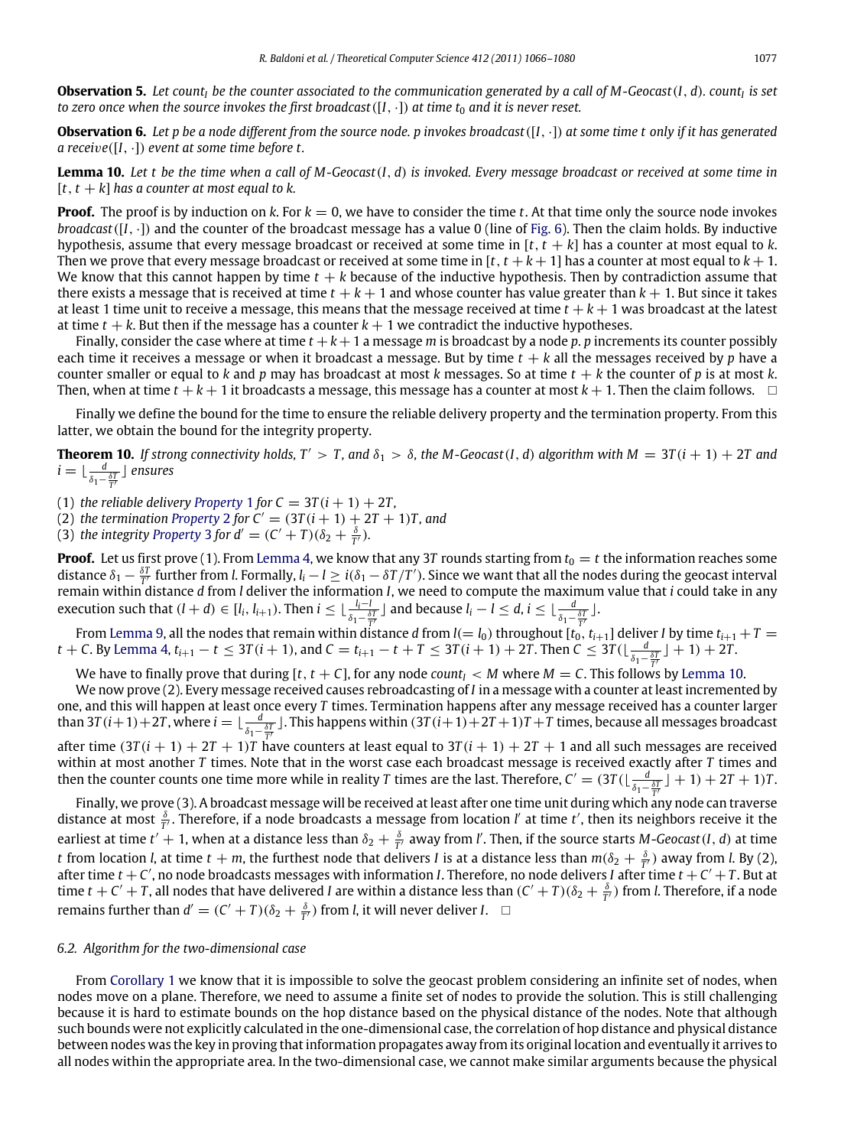**Observation 5.** *Let count<sup>I</sup> be the counter associated to the communication generated by a call of M-Geocast*(*I*, *d*)*. count<sup>I</sup> is set to zero once when the source invokes the first broadcast*( $[I, \cdot]$ ) *at time t<sub>0</sub> and it is never reset.* 

**Observation 6.** *Let p be a node different from the source node. p invokes broadcast*([*I*, ·]) *at some time t only if it has generated a recei*v*e*([*I*, ·]) *event at some time before t.*

<span id="page-11-1"></span>**Lemma 10.** *Let t be the time when a call of M-Geocast*(*I*, *d*) *is invoked. Every message broadcast or received at some time in*  $[t, t + k]$  has a counter at most equal to k.

**Proof.** The proof is by induction on k. For  $k = 0$ , we have to consider the time t. At that time only the source node invokes *broadcast*([*I*, ·]) and the counter of the broadcast message has a value 0 (line of [Fig.](#page-8-1) [6\)](#page-8-1). Then the claim holds. By inductive hypothesis, assume that every message broadcast or received at some time in [*t*, *t* + *k*] has a counter at most equal to *k*. Then we prove that every message broadcast or received at some time in  $[t, t + k + 1]$  has a counter at most equal to  $k + 1$ . We know that this cannot happen by time  $t + k$  because of the inductive hypothesis. Then by contradiction assume that there exists a message that is received at time  $t + k + 1$  and whose counter has value greater than  $k + 1$ . But since it takes at least 1 time unit to receive a message, this means that the message received at time  $t + k + 1$  was broadcast at the latest at time  $t + k$ . But then if the message has a counter  $k + 1$  we contradict the inductive hypotheses.

Finally, consider the case where at time  $t + k + 1$  a message *m* is broadcast by a node *p*. *p* increments its counter possibly each time it receives a message or when it broadcast a message. But by time  $t + k$  all the messages received by  $p$  have a counter smaller or equal to *k* and *p* may has broadcast at most *k* messages. So at time *t* + *k* the counter of *p* is at most *k*. Then, when at time  $t + k + 1$  it broadcasts a message, this message has a counter at most  $k + 1$ . Then the claim follows.  $\Box$ 

Finally we define the bound for the time to ensure the reliable delivery property and the termination property. From this latter, we obtain the bound for the integrity property.

**Theorem 10.** If strong connectivity holds,  $T' > T$ , and  $\delta_1 > \delta$ , the M-Geocast(*I*, *d*) algorithm with  $M = 3T(i + 1) + 2T$  and *i* = ⊥ $\frac{d}{\delta_1 - \frac{\delta T}{T'}}$  ] ensures

([1](#page-3-4)) *the reliable delivery [Property](#page-3-4)* 1 *for*  $C = 3T(i + 1) + 2T$ ,

([2](#page-3-5)) *the termination [Property](#page-3-5)* 2 *for*  $C' = (3T(i + 1) + 2T + 1)T$ *, and* 

([3](#page-3-6)) *the integrity [Property](#page-3-6) 3 for*  $d' = (C' + T)(\delta_2 + \frac{\delta}{T'})$ *.* 

**Proof.** Let us first prove (1). From [Lemma](#page-8-3) [4,](#page-8-3) we know that any 3*T* rounds starting from  $t_0 = t$  the information reaches some distance  $\delta_1 - \frac{\delta T}{T'}$  further from *l*. Formally,  $l_i - l \ge i(\delta_1 - \delta T/T')$ . Since we want that all the nodes during the geocast interval *T* remain within distance *d* from *l* deliver the information *I*, we need to compute the maximum value that *i* could take in any execution such that  $(l + d) \in [l_i, l_{i+1})$ . Then  $i \leq \lfloor \frac{l_i - l_i}{s_i} \rfloor$  $\frac{l_i - l}{\delta_1 - \frac{\delta T}{T'}}$  and because  $l_i - l \leq d, i \leq \lfloor \frac{d}{\delta_1 - \frac{\delta T}{T'}} \rfloor$ .

From [Lemma](#page-10-2) [9,](#page-10-2) all the nodes that remain within distance  $d$  from  $l(=l_0)$  throughout  $[t_0,t_{i+1}]$  deliver  $I$  by time  $t_{i+1}+T=$  $t+C$ . By [Lemma](#page-8-3) [4,](#page-8-3)  $t_{i+1}-t \leq 3T(i+1)$ , and  $C=t_{i+1}-t+T \leq 3T(i+1)+2T$ . Then  $C \leq 3T(\lfloor \frac{d}{\delta_1-\frac{\delta T}{T'}}\rfloor+1)+2T$ .

We have to finally prove that during  $[t, t + C]$ , for any node *count*<sub>I</sub> < *M* where *M* = *C*. This follows by [Lemma](#page-11-1) [10.](#page-11-1)

We now prove (2). Every message received causes rebroadcasting of *I* in a message with a counter at least incremented by one, and this will happen at least once every *T* times. Termination happens after any message received has a counter larger than 3*T* ( $i+1$ ) + 2*T*, where  $i=\lfloor\frac{d}{\delta_1-\frac{\delta T}{\tau'}}\rfloor$ . This happens within (3*T* ( $i+1$ ) + 2*T* + 1)*T* + *T* times, because all messages broadcast after time  $(3T(i + 1) + 2T + 1)T$  have counters at least equal to  $3T(i + 1) + 2T + 1$  and all such messages are received within at most another *T* times. Note that in the worst case each broadcast message is received exactly after *T* times and then the counter counts one time more while in reality *T* times are the last. Therefore,  $C' = (3T(\lfloor \frac{d}{\delta_1 - \frac{\delta T}{T'}} \rfloor + 1) + 2T + 1)T$ .

*T* Finally, we prove (3). A broadcast message will be received at least after one time unit during which any node can traverse distance at most  $\frac{\delta}{T'}$ . Therefore, if a node broadcasts a message from location *l'* at time *t'*, then its neighbors receive it the earliest at time  $t'+1$ , when at a distance less than  $\delta_2+\frac{\delta}{T'}$  away from *l'*. Then, if the source starts *M*-*Geocast*(*I*, *d*) at time *t* from location *l*, at time *t* + *m*, the furthest node that delivers *I* is at a distance less than  $m(\delta_2+\frac{\delta}{T'})$  away from *l*. By (2), after time  $t + C'$ , no node broadcasts messages with information *I*. Therefore, no node delivers *I* after time  $t + C' + T$ . But at time  $t + C' + T$ , all nodes that have delivered *I* are within a distance less than  $(C' + T)(\delta_2 + \frac{\delta}{T'})$  from *l*. Therefore, if a node remains further than  $d' = (C' + T)(\delta_2 + \frac{\delta}{T'})$  from *l*, it will never deliver *I*.  $\Box$ 

#### <span id="page-11-0"></span>*6.2. Algorithm for the two-dimensional case*

From [Corollary](#page-7-3) [1](#page-7-3) we know that it is impossible to solve the geocast problem considering an infinite set of nodes, when nodes move on a plane. Therefore, we need to assume a finite set of nodes to provide the solution. This is still challenging because it is hard to estimate bounds on the hop distance based on the physical distance of the nodes. Note that although such bounds were not explicitly calculated in the one-dimensional case, the correlation of hop distance and physical distance between nodes was the key in proving that information propagates away from its original location and eventually it arrives to all nodes within the appropriate area. In the two-dimensional case, we cannot make similar arguments because the physical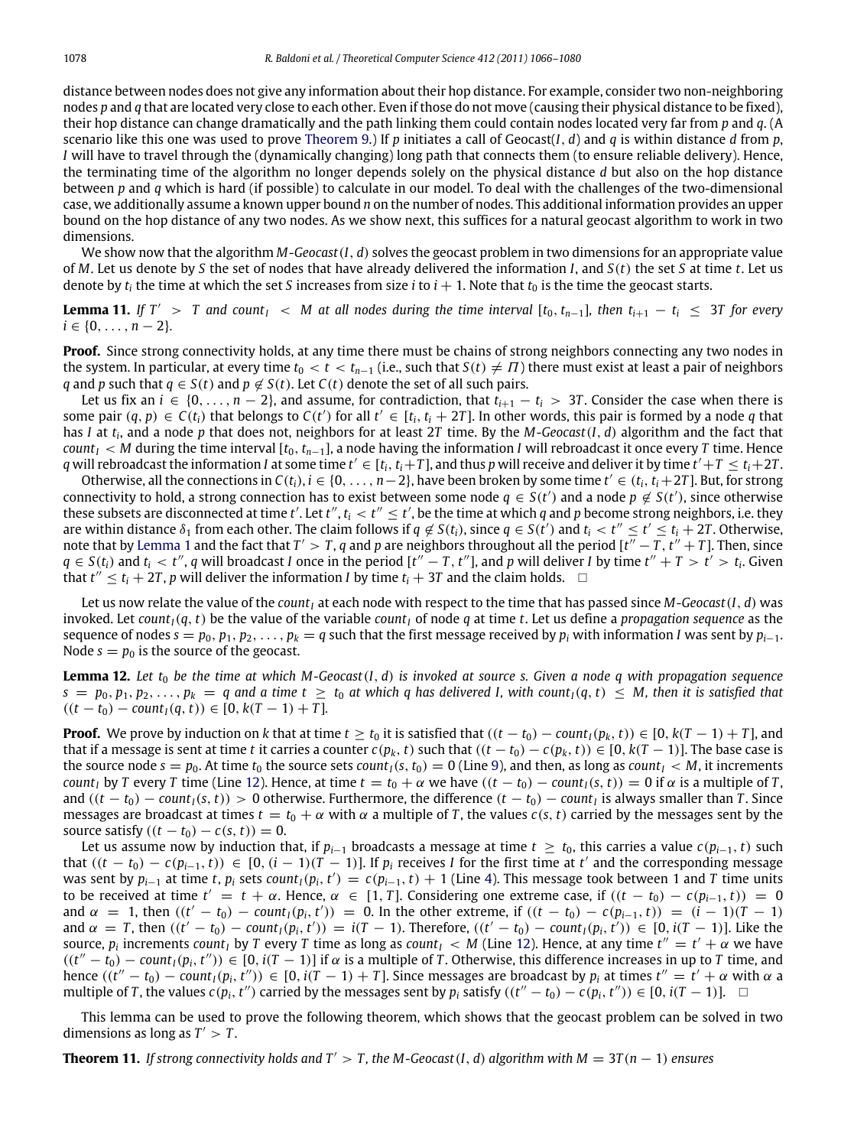distance between nodes does not give any information about their hop distance. For example, consider two non-neighboring nodes *p* and *q* that are located very close to each other. Even if those do not move (causing their physical distance to be fixed), their hop distance can change dramatically and the path linking them could contain nodes located very far from *p* and *q*. (A scenario like this one was used to prove [Theorem](#page-7-0) [9.](#page-7-0)) If  $p$  initiates a call of Geocast( $I$ ,  $d$ ) and  $q$  is within distance  $d$  from  $p$ , *I* will have to travel through the (dynamically changing) long path that connects them (to ensure reliable delivery). Hence, the terminating time of the algorithm no longer depends solely on the physical distance *d* but also on the hop distance between *p* and *q* which is hard (if possible) to calculate in our model. To deal with the challenges of the two-dimensional case, we additionally assume a known upper bound *n* on the number of nodes. This additional information provides an upper bound on the hop distance of any two nodes. As we show next, this suffices for a natural geocast algorithm to work in two dimensions.

We show now that the algorithm *M*-*Geocast*(*I*, *d*) solves the geocast problem in two dimensions for an appropriate value of *M*. Let us denote by *S* the set of nodes that have already delivered the information *I*, and *S*(*t*) the set *S* at time *t*. Let us denote by  $t_i$  the time at which the set *S* increases from size *i* to  $i + 1$ . Note that  $t_0$  is the time the geocast starts.

<span id="page-12-0"></span>**Lemma 11.** If  $T' > T$  and count<sub> $I'$ </sub> < M at all nodes during the time interval  $[t_0, t_{n-1}]$ , then  $t_{i+1} - t_i \leq 3T$  for every  $i \in \{0, \ldots, n-2\}.$ 

**Proof.** Since strong connectivity holds, at any time there must be chains of strong neighbors connecting any two nodes in the system. In particular, at every time  $t_0 < t < t_{n-1}$  (i.e., such that  $S(t) \neq \Pi$ ) there must exist at least a pair of neighbors *q* and *p* such that *q* ∈ *S*(*t*) and *p* ∉ *S*(*t*). Let *C*(*t*) denote the set of all such pairs.

Let us fix an *i* ∈ {0, . . . , *n* − 2}, and assume, for contradiction, that  $t_{i+1} - t_i > 3T$ . Consider the case when there is some pair  $(q, p) \in C(t_i)$  that belongs to  $C(t')$  for all  $t' \in [t_i, t_i + 2T]$ . In other words, this pair is formed by a node q that has *I* at *t<sup>i</sup>* , and a node *p* that does not, neighbors for at least 2*T* time. By the *M*-*Geocast*(*I*, *d*) algorithm and the fact that *count*<sub>*I*</sub> < *M* during the time interval  $[t_0, t_{n-1}]$ , a node having the information *I* will rebroadcast it once every *T* time. Hence q will rebroadcast the information I at some time  $t'\in[t_i,t_i+T]$ , and thus p will receive and deliver it by time  $t'+T\leq t_i+2T.$ 

Otherwise, all the connections in  $C(t_i)$ ,  $i \in \{0, \ldots, n-2\}$ , have been broken by some time  $t' \in (t_i, t_i + 2T]$ . But, for strong connectivity to hold, a strong connection has to exist between some node  $q \in S(t')$  and a node  $p \notin S(t')$ , since otherwise these subsets are disconnected at time t'. Let t'', t<sub>i</sub> < t''  $\leq$  t', be the time at which q and p become strong neighbors, i.e. they are within distance  $\delta_1$  from each other. The claim follows if  $q \notin S(t_i)$ , since  $q \in S(t')$  and  $t_i < t'' \leq t' \leq t_i + 2T$ . Otherwise, note that by [Lemma](#page-3-3) [1](#page-3-3) and the fact that  $T' > T$ , q and p are neighbors throughout all the period  $[t'' - T, t'' + T]$ . Then, since  $q \in S(t_i)$  and  $t_i < t''$ , q will broadcast I once in the period  $[t''-T, t'']$ , and p will deliver I by time  $t'' + T > t' > t_i$ . Given that  $t'' \le t_i + 2T$ , p will deliver the information *I* by time  $t_i + 3T$  and the claim holds.  $\Box$ 

Let us now relate the value of the *count<sub>I</sub>* at each node with respect to the time that has passed since *M*-*Geocast*(*I*, *d*) was invoked. Let *count*<sub>*I*</sub>( $q$ ,  $t$ ) be the value of the variable *count<sub>I</sub>* of node  $q$  at time  $t$ . Let us define a *propagation sequence* as the sequence of nodes  $s = p_0, p_1, p_2, \ldots, p_k = q$  such that the first message received by  $p_i$  with information *I* was sent by  $p_{i-1}$ . Node  $s = p_0$  is the source of the geocast.

<span id="page-12-1"></span>**Lemma 12.** Let  $t_0$  be the time at which M-Geocast $(I, d)$  is invoked at source s. Given a node q with propagation sequence  $s = p_0, p_1, p_2, \ldots, p_k = q$  and a time  $t \ge t_0$  at which q has delivered I, with count<sub>I</sub>(q, t)  $\le M$ , then it is satisfied that  $((t - t_0) - \text{count}_I(q, t)) \in [0, k(T - 1) + T].$ 

**Proof.** We prove by induction on k that at time  $t \ge t_0$  it is satisfied that  $((t - t_0) - \text{count}_I(p_k, t)) \in [0, k(T - 1) + T]$ , and that if a message is sent at time *t* it carries a counter  $c(p_k, t)$  such that  $((t − t_0) − c(p_k, t)) ∈ [0, k(T − 1)]$ . The base case is the source node  $s = p_0$ . At time  $t_0$  the source sets *count*<sub>*I*</sub>(*s*,  $t_0$ ) = 0 (Line [9\)](#page-0-7), and then, as long as *count*<sub>*I*</sub> < *M*, it increments *count*<sub>*I*</sub> by *T* every *T* time (Line [12\)](#page-0-7). Hence, at time  $t = t_0 + \alpha$  we have  $((t - t_0) - \text{count}_1(s, t)) = 0$  if  $\alpha$  is a multiple of *T*, and  $((t - t_0) - count_I(s, t)) > 0$  otherwise. Furthermore, the difference  $(t - t_0) - count_I$  is always smaller than *T*. Since messages are broadcast at times  $t = t_0 + \alpha$  with  $\alpha$  a multiple of *T*, the values  $c(s, t)$  carried by the messages sent by the source satisfy  $((t - t_0) - c(s, t)) = 0$ .

Let us assume now by induction that, if  $p_{i-1}$  broadcasts a message at time  $t \geq t_0$ , this carries a value  $c(p_{i-1}, t)$  such that  $((t - t_0) - c(p_{i-1}, t))$  ∈ [0,  $(i - 1)(T - 1)$ ]. If  $p_i$  receives *I* for the first time at *t'* and the corresponding message was sent by  $p_{i-1}$  at time t,  $p_i$  sets count<sub>1</sub> $(p_i, t') = c(p_{i-1}, t) + 1$  (Line [4\)](#page-0-7). This message took between 1 and T time units to be received at time *t'* = *t* + α. Hence, α ∈ [1, *T*]. Considering one extreme case, if ((*t* − *t*<sub>0</sub>) − *c*(*p*<sub>*i*−1</sub>, *t*)) = 0 and  $\alpha = 1$ , then  $((t' - t_0) - \text{count}_I(p_i, t')) = 0$ . In the other extreme, if  $((t - t_0) - c(p_{i-1}, t)) = (i - 1)(T - 1)$ and  $\alpha = T$ , then  $((t'-t_0) - count_1(p_i, t')) = i(T-1)$ . Therefore,  $((t'-t_0) - count_1(p_i, t')) \in [0, i(T-1)]$ . Like the source,  $p_i$  increments *count<sub>I</sub>* by *T* every *T* time as long as *count<sub>I</sub>* < *M* (Line [12\)](#page-0-7). Hence, at any time  $t'' = t' + \alpha$  we have  $((t'' - t_0) - \text{count}_I(p_i, t'')) \in [0, i(T - 1)]$  if  $\alpha$  is a multiple of *T*. Otherwise, this difference increases in up to *T* time, and hence  $((t''-t_0)-count_1(p_i, t'')) \in [0, i(T-1)+T]$ . Since messages are broadcast by  $p_i$  at times  $t'' = t' + \alpha$  with  $\alpha$  a multiple of T, the values  $c(p_i, t'')$  carried by the messages sent by  $p_i$  satisfy  $((t'' - t_0) - c(p_i, t'')) \in [0, i(T - 1)].$ 

This lemma can be used to prove the following theorem, which shows that the geocast problem can be solved in two dimensions as long as  $T' > T$ .

**Theorem 11.** *If strong connectivity holds and T'* > *T*, *the M-Geocast*(*I*, *d*) *algorithm with*  $M = 3T(n - 1)$  *ensures*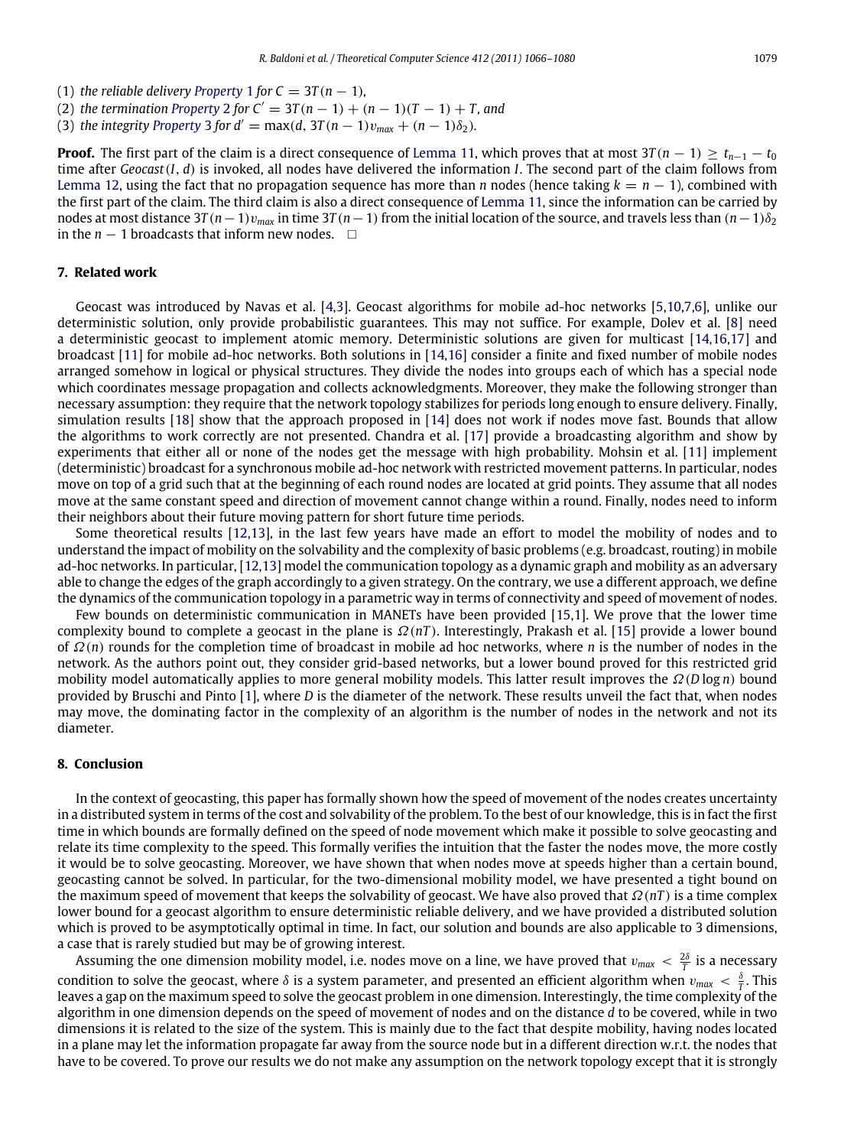- ([1](#page-3-4)) *the reliable delivery [Property](#page-3-4)* 1 *for*  $C = 3T(n 1)$ *,*
- ([2](#page-3-5)) *the termination [Property](#page-3-5)* 2 *for*  $C' = 3T(n 1) + (n 1)(T 1) + T$ *, and*
- ([3](#page-3-6)) *the integrity [Property](#page-3-6)* 3 *for d'* = max(*d*,  $3T(n 1)v_{max} + (n 1)\delta_2$ )*.*

**Proof.** The first part of the claim is a direct consequence of [Lemma](#page-12-0) [11,](#page-12-0) which proves that at most  $3T(n - 1) > t_{n-1} - t_0$ time after *Geocast*(*I*, *d*) is invoked, all nodes have delivered the information *I*. The second part of the claim follows from [Lemma](#page-12-1) [12,](#page-12-1) using the fact that no propagation sequence has more than *n* nodes (hence taking  $k = n - 1$ ), combined with the first part of the claim. The third claim is also a direct consequence of [Lemma](#page-12-0) [11,](#page-12-0) since the information can be carried by nodes at most distance  $3T(n-1)v_{max}$  in time  $3T(n-1)$  from the initial location of the source, and travels less than  $(n-1)\delta_2$ in the  $n - 1$  broadcasts that inform new nodes.  $□$ 

# **7. Related work**

Geocast was introduced by Navas et al. [\[4,](#page-14-1)[3\]](#page-14-0). Geocast algorithms for mobile ad-hoc networks [\[5,](#page-14-2)[10](#page-14-8)[,7,](#page-14-9)[6\]](#page-14-10), unlike our deterministic solution, only provide probabilistic guarantees. This may not suffice. For example, Dolev et al. [\[8\]](#page-14-3) need a deterministic geocast to implement atomic memory. Deterministic solutions are given for multicast [\[14](#page-14-11)[,16,](#page-14-7)[17\]](#page-14-12) and broadcast [\[11\]](#page-14-6) for mobile ad-hoc networks. Both solutions in [\[14,](#page-14-11)[16\]](#page-14-7) consider a finite and fixed number of mobile nodes arranged somehow in logical or physical structures. They divide the nodes into groups each of which has a special node which coordinates message propagation and collects acknowledgments. Moreover, they make the following stronger than necessary assumption: they require that the network topology stabilizes for periods long enough to ensure delivery. Finally, simulation results [\[18\]](#page-14-13) show that the approach proposed in [\[14\]](#page-14-11) does not work if nodes move fast. Bounds that allow the algorithms to work correctly are not presented. Chandra et al. [\[17\]](#page-14-12) provide a broadcasting algorithm and show by experiments that either all or none of the nodes get the message with high probability. Mohsin et al. [\[11\]](#page-14-6) implement (deterministic) broadcast for a synchronous mobile ad-hoc network with restricted movement patterns. In particular, nodes move on top of a grid such that at the beginning of each round nodes are located at grid points. They assume that all nodes move at the same constant speed and direction of movement cannot change within a round. Finally, nodes need to inform their neighbors about their future moving pattern for short future time periods.

Some theoretical results [\[12](#page-14-14)[,13\]](#page-14-15), in the last few years have made an effort to model the mobility of nodes and to understand the impact of mobility on the solvability and the complexity of basic problems (e.g. broadcast, routing) in mobile ad-hoc networks. In particular, [\[12,](#page-14-14)[13\]](#page-14-15) model the communication topology as a dynamic graph and mobility as an adversary able to change the edges of the graph accordingly to a given strategy. On the contrary, we use a different approach, we define the dynamics of the communication topology in a parametric way in terms of connectivity and speed of movement of nodes.

Few bounds on deterministic communication in MANETs have been provided [\[15,](#page-14-16)[1\]](#page-14-17). We prove that the lower time complexity bound to complete a geocast in the plane is Ω(*nT* ). Interestingly, Prakash et al. [\[15\]](#page-14-16) provide a lower bound of Ω(*n*) rounds for the completion time of broadcast in mobile ad hoc networks, where *n* is the number of nodes in the network. As the authors point out, they consider grid-based networks, but a lower bound proved for this restricted grid mobility model automatically applies to more general mobility models. This latter result improves the Ω(*D* log *n*) bound provided by Bruschi and Pinto [\[1\]](#page-14-17), where *D* is the diameter of the network. These results unveil the fact that, when nodes may move, the dominating factor in the complexity of an algorithm is the number of nodes in the network and not its diameter.

## **8. Conclusion**

In the context of geocasting, this paper has formally shown how the speed of movement of the nodes creates uncertainty in a distributed system in terms of the cost and solvability of the problem. To the best of our knowledge, this is in fact the first time in which bounds are formally defined on the speed of node movement which make it possible to solve geocasting and relate its time complexity to the speed. This formally verifies the intuition that the faster the nodes move, the more costly it would be to solve geocasting. Moreover, we have shown that when nodes move at speeds higher than a certain bound, geocasting cannot be solved. In particular, for the two-dimensional mobility model, we have presented a tight bound on the maximum speed of movement that keeps the solvability of geocast. We have also proved that Ω(*nT* ) is a time complex lower bound for a geocast algorithm to ensure deterministic reliable delivery, and we have provided a distributed solution which is proved to be asymptotically optimal in time. In fact, our solution and bounds are also applicable to 3 dimensions, a case that is rarely studied but may be of growing interest.

Assuming the one dimension mobility model, i.e. nodes move on a line, we have proved that  $v_{max} < \frac{2\delta}{T}$  is a necessary condition to solve the geocast, where  $\delta$  is a system parameter, and presented an efficient algorithm when  $v_{max} < \frac{\delta}{T}$ . This leaves a gap on the maximum speed to solve the geocast problem in one dimension. Interestingly, the time complexity of the algorithm in one dimension depends on the speed of movement of nodes and on the distance *d* to be covered, while in two dimensions it is related to the size of the system. This is mainly due to the fact that despite mobility, having nodes located in a plane may let the information propagate far away from the source node but in a different direction w.r.t. the nodes that have to be covered. To prove our results we do not make any assumption on the network topology except that it is strongly